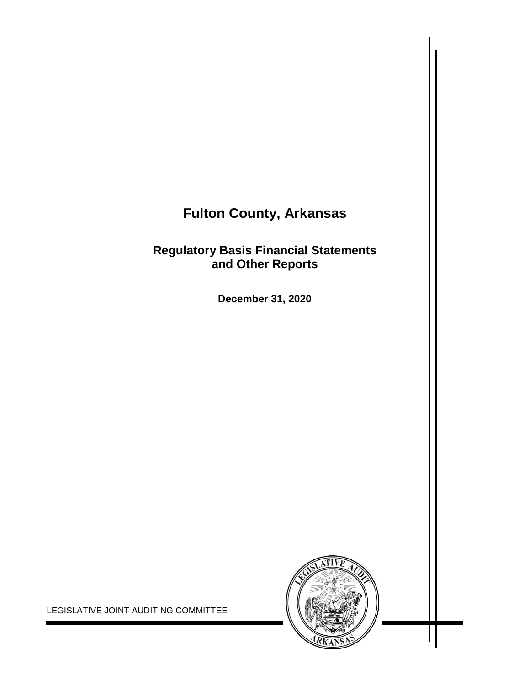# **Fulton County, Arkansas**

# **Regulatory Basis Financial Statements and Other Reports**

**December 31, 2020**



LEGISLATIVE JOINT AUDITING COMMITTEE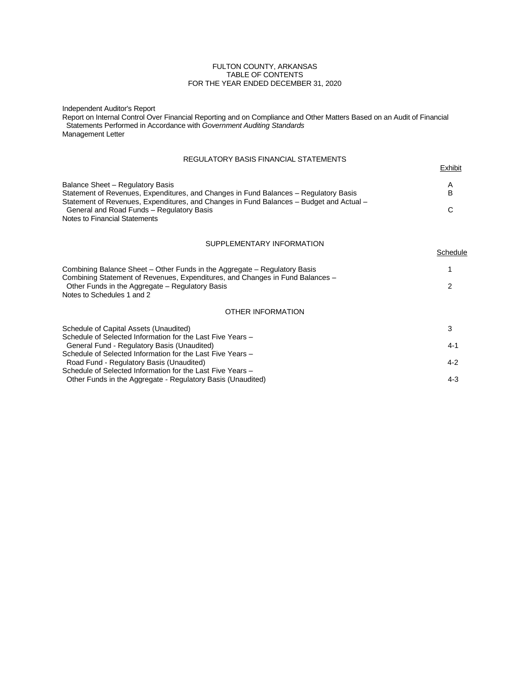### FULTON COUNTY, ARKANSAS TABLE OF CONTENTS FOR THE YEAR ENDED DECEMBER 31, 2020

Independent Auditor's Report

Report on Internal Control Over Financial Reporting and on Compliance and Other Matters Based on an Audit of Financial Statements Performed in Accordance with *Government Auditing Standards* Management Letter

# REGULATORY BASIS FINANCIAL STATEMENTS

**Exhibit** 

| Balance Sheet - Regulatory Basis<br>Statement of Revenues, Expenditures, and Changes in Fund Balances – Regulatory Basis<br>Statement of Revenues, Expenditures, and Changes in Fund Balances – Budget and Actual –<br>General and Road Funds - Regulatory Basis<br>Notes to Financial Statements |          |  |  |  |  |  |
|---------------------------------------------------------------------------------------------------------------------------------------------------------------------------------------------------------------------------------------------------------------------------------------------------|----------|--|--|--|--|--|
| SUPPLEMENTARY INFORMATION                                                                                                                                                                                                                                                                         | Schedule |  |  |  |  |  |
| Combining Balance Sheet – Other Funds in the Aggregate – Regulatory Basis<br>Combining Statement of Revenues, Expenditures, and Changes in Fund Balances -<br>Other Funds in the Aggregate – Regulatory Basis<br>Notes to Schedules 1 and 2                                                       |          |  |  |  |  |  |
| OTHER INFORMATION                                                                                                                                                                                                                                                                                 |          |  |  |  |  |  |
| Schedule of Capital Assets (Unaudited)<br>Schedule of Selected Information for the Last Five Years -<br>General Fund - Regulatory Basis (Unaudited)                                                                                                                                               | 3<br>4-1 |  |  |  |  |  |
| Schedule of Selected Information for the Last Five Years -<br>Road Fund - Regulatory Basis (Unaudited)<br>Schedule of Selected Information for the Last Five Years -                                                                                                                              |          |  |  |  |  |  |

Other Funds in the Aggregate - Regulatory Basis (Unaudited) 4-3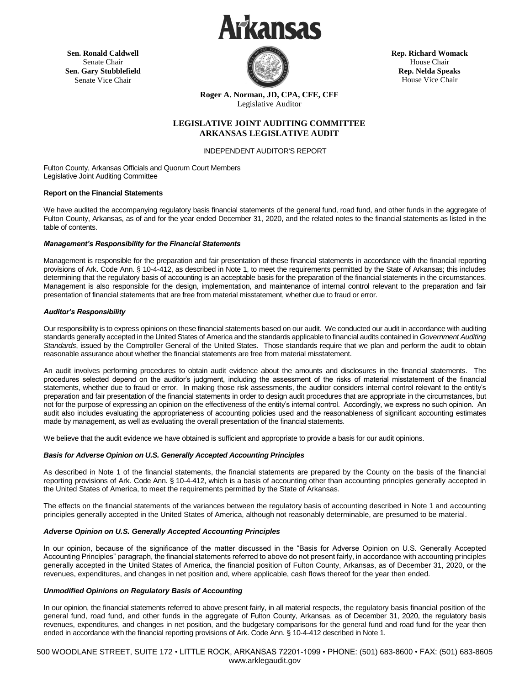**Sen. Ronald Caldwell** Senate Chair **Sen. Gary Stubblefield** Senate Vice Chair





**Rep. Richard Womack** House Chair **Rep. Nelda Speaks** House Vice Chair

**Roger A. Norman, JD, CPA, CFE, CFF** Legislative Auditor

# **LEGISLATIVE JOINT AUDITING COMMITTEE ARKANSAS LEGISLATIVE AUDIT**

### INDEPENDENT AUDITOR'S REPORT

Fulton County, Arkansas Officials and Quorum Court Members Legislative Joint Auditing Committee

#### **Report on the Financial Statements**

We have audited the accompanying regulatory basis financial statements of the general fund, road fund, and other funds in the aggregate of Fulton County, Arkansas, as of and for the year ended December 31, 2020, and the related notes to the financial statements as listed in the table of contents.

#### *Management's Responsibility for the Financial Statements*

Management is responsible for the preparation and fair presentation of these financial statements in accordance with the financial reporting provisions of Ark. Code Ann. § 10-4-412, as described in Note 1, to meet the requirements permitted by the State of Arkansas; this includes determining that the regulatory basis of accounting is an acceptable basis for the preparation of the financial statements in the circumstances. Management is also responsible for the design, implementation, and maintenance of internal control relevant to the preparation and fair presentation of financial statements that are free from material misstatement, whether due to fraud or error.

#### *Auditor's Responsibility*

Our responsibility is to express opinions on these financial statements based on our audit. We conducted our audit in accordance with auditing standards generally accepted in the United States of America and the standards applicable to financial audits contained in *Government Auditing Standards*, issued by the Comptroller General of the United States. Those standards require that we plan and perform the audit to obtain reasonable assurance about whether the financial statements are free from material misstatement.

An audit involves performing procedures to obtain audit evidence about the amounts and disclosures in the financial statements. The procedures selected depend on the auditor's judgment, including the assessment of the risks of material misstatement of the financial statements, whether due to fraud or error. In making those risk assessments, the auditor considers internal control relevant to the entity's preparation and fair presentation of the financial statements in order to design audit procedures that are appropriate in the circumstances, but not for the purpose of expressing an opinion on the effectiveness of the entity's internal control. Accordingly, we express no such opinion. An audit also includes evaluating the appropriateness of accounting policies used and the reasonableness of significant accounting estimates made by management, as well as evaluating the overall presentation of the financial statements.

We believe that the audit evidence we have obtained is sufficient and appropriate to provide a basis for our audit opinions.

#### *Basis for Adverse Opinion on U.S. Generally Accepted Accounting Principles*

As described in Note 1 of the financial statements, the financial statements are prepared by the County on the basis of the financial reporting provisions of Ark. Code Ann. § 10-4-412, which is a basis of accounting other than accounting principles generally accepted in the United States of America, to meet the requirements permitted by the State of Arkansas.

The effects on the financial statements of the variances between the regulatory basis of accounting described in Note 1 and accounting principles generally accepted in the United States of America, although not reasonably determinable, are presumed to be material.

#### *Adverse Opinion on U.S. Generally Accepted Accounting Principles*

In our opinion, because of the significance of the matter discussed in the "Basis for Adverse Opinion on U.S. Generally Accepted Accounting Principles" paragraph, the financial statements referred to above do not present fairly, in accordance with accounting principles generally accepted in the United States of America, the financial position of Fulton County, Arkansas, as of December 31, 2020, or the revenues, expenditures, and changes in net position and, where applicable, cash flows thereof for the year then ended.

#### *Unmodified Opinions on Regulatory Basis of Accounting*

In our opinion, the financial statements referred to above present fairly, in all material respects, the regulatory basis financial position of the general fund, road fund, and other funds in the aggregate of Fulton County, Arkansas, as of December 31, 2020, the regulatory basis revenues, expenditures, and changes in net position, and the budgetary comparisons for the general fund and road fund for the year then ended in accordance with the financial reporting provisions of Ark. Code Ann. § 10-4-412 described in Note 1.

500 WOODLANE STREET, SUITE 172 • LITTLE ROCK, ARKANSAS 72201-1099 • PHONE: (501) 683-8600 • FAX: (501) 683-8605 www.arklegaudit.gov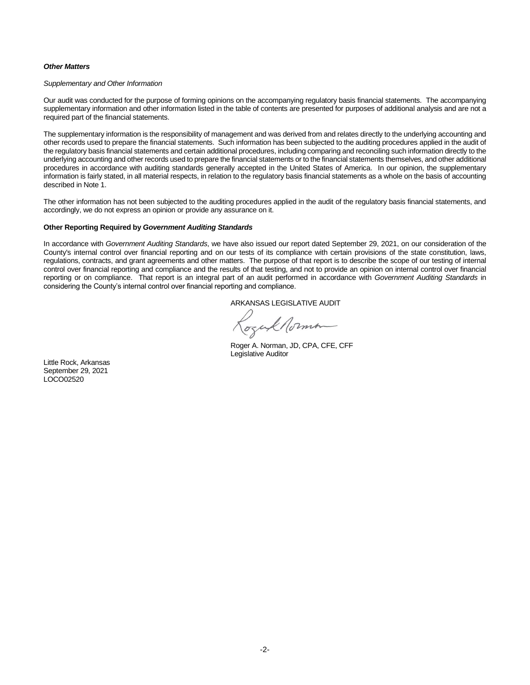### *Other Matters*

#### *Supplementary and Other Information*

Our audit was conducted for the purpose of forming opinions on the accompanying regulatory basis financial statements. The accompanying supplementary information and other information listed in the table of contents are presented for purposes of additional analysis and are not a required part of the financial statements.

The supplementary information is the responsibility of management and was derived from and relates directly to the underlying accounting and other records used to prepare the financial statements. Such information has been subjected to the auditing procedures applied in the audit of the regulatory basis financial statements and certain additional procedures, including comparing and reconciling such information directly to the underlying accounting and other records used to prepare the financial statements or to the financial statements themselves, and other additional procedures in accordance with auditing standards generally accepted in the United States of America. In our opinion, the supplementary information is fairly stated, in all material respects, in relation to the regulatory basis financial statements as a whole on the basis of accounting described in Note 1.

The other information has not been subjected to the auditing procedures applied in the audit of the regulatory basis financial statements, and accordingly, we do not express an opinion or provide any assurance on it.

#### **Other Reporting Required by** *Government Auditing Standards*

In accordance with *Government Auditing Standards*, we have also issued our report dated September 29, 2021, on our consideration of the County's internal control over financial reporting and on our tests of its compliance with certain provisions of the state constitution, laws, regulations, contracts, and grant agreements and other matters. The purpose of that report is to describe the scope of our testing of internal control over financial reporting and compliance and the results of that testing, and not to provide an opinion on internal control over financial reporting or on compliance. That report is an integral part of an audit performed in accordance with *Government Auditing Standards* in considering the County's internal control over financial reporting and compliance.

ARKANSAS LEGISLATIVE AUDIT

ozuk Norman

Roger A. Norman, JD, CPA, CFE, CFF Legislative Auditor

Little Rock, Arkansas September 29, 2021 LOCO02520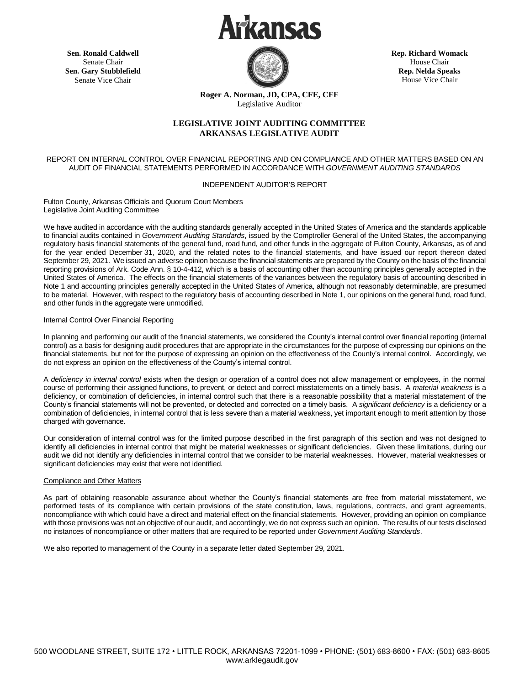

**Sen. Ronald Caldwell** Senate Chair **Sen. Gary Stubblefield** Senate Vice Chair



**Rep. Richard Womack** House Chair **Rep. Nelda Speaks** House Vice Chair

**Roger A. Norman, JD, CPA, CFE, CFF** Legislative Auditor

# **LEGISLATIVE JOINT AUDITING COMMITTEE ARKANSAS LEGISLATIVE AUDIT**

## REPORT ON INTERNAL CONTROL OVER FINANCIAL REPORTING AND ON COMPLIANCE AND OTHER MATTERS BASED ON AN AUDIT OF FINANCIAL STATEMENTS PERFORMED IN ACCORDANCE WITH *GOVERNMENT AUDITING STANDARDS*

## INDEPENDENT AUDITOR'S REPORT

Fulton County, Arkansas Officials and Quorum Court Members Legislative Joint Auditing Committee

We have audited in accordance with the auditing standards generally accepted in the United States of America and the standards applicable to financial audits contained in *Government Auditing Standards*, issued by the Comptroller General of the United States, the accompanying regulatory basis financial statements of the general fund, road fund, and other funds in the aggregate of Fulton County, Arkansas, as of and for the year ended December 31, 2020, and the related notes to the financial statements, and have issued our report thereon dated September 29, 2021. We issued an adverse opinion because the financial statements are prepared by the County on the basis of the financial reporting provisions of Ark. Code Ann. § 10-4-412, which is a basis of accounting other than accounting principles generally accepted in the United States of America. The effects on the financial statements of the variances between the regulatory basis of accounting described in Note 1 and accounting principles generally accepted in the United States of America, although not reasonably determinable, are presumed to be material. However, with respect to the regulatory basis of accounting described in Note 1, our opinions on the general fund, road fund, and other funds in the aggregate were unmodified.

## Internal Control Over Financial Reporting

In planning and performing our audit of the financial statements, we considered the County's internal control over financial reporting (internal control) as a basis for designing audit procedures that are appropriate in the circumstances for the purpose of expressing our opinions on the financial statements, but not for the purpose of expressing an opinion on the effectiveness of the County's internal control. Accordingly, we do not express an opinion on the effectiveness of the County's internal control.

A *deficiency in internal control* exists when the design or operation of a control does not allow management or employees, in the normal course of performing their assigned functions, to prevent, or detect and correct misstatements on a timely basis. A *material weakness* is a deficiency, or combination of deficiencies, in internal control such that there is a reasonable possibility that a material misstatement of the County's financial statements will not be prevented, or detected and corrected on a timely basis. A *significant deficiency* is a deficiency or a combination of deficiencies, in internal control that is less severe than a material weakness, yet important enough to merit attention by those charged with governance.

Our consideration of internal control was for the limited purpose described in the first paragraph of this section and was not designed to identify all deficiencies in internal control that might be material weaknesses or significant deficiencies. Given these limitations, during our audit we did not identify any deficiencies in internal control that we consider to be material weaknesses. However, material weaknesses or significant deficiencies may exist that were not identified.

#### Compliance and Other Matters

As part of obtaining reasonable assurance about whether the County's financial statements are free from material misstatement, we performed tests of its compliance with certain provisions of the state constitution, laws, regulations, contracts, and grant agreements, noncompliance with which could have a direct and material effect on the financial statements. However, providing an opinion on compliance with those provisions was not an objective of our audit, and accordingly, we do not express such an opinion. The results of our tests disclosed no instances of noncompliance or other matters that are required to be reported under *Government Auditing Standards*.

We also reported to management of the County in a separate letter dated September 29, 2021.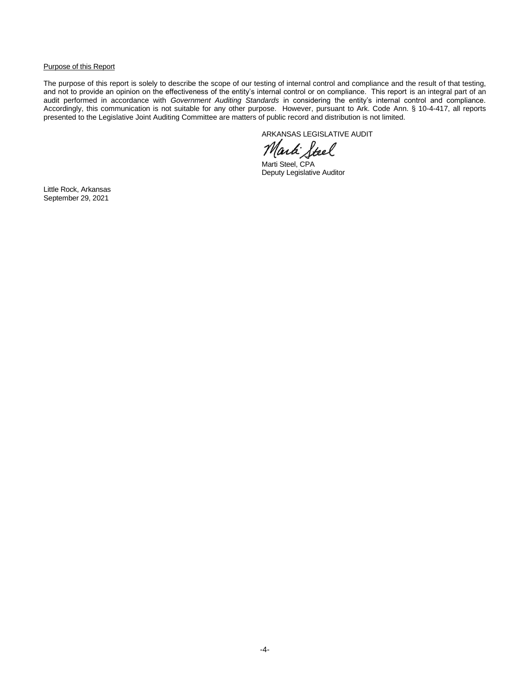#### Purpose of this Report

The purpose of this report is solely to describe the scope of our testing of internal control and compliance and the result of that testing, and not to provide an opinion on the effectiveness of the entity's internal control or on compliance. This report is an integral part of an audit performed in accordance with *Government Auditing Standards* in considering the entity's internal control and compliance. Accordingly, this communication is not suitable for any other purpose. However, pursuant to Ark. Code Ann. § 10-4-417, all reports presented to the Legislative Joint Auditing Committee are matters of public record and distribution is not limited.

ARKANSAS LEGISLATIVE AUDIT

arti Stoel

Marti Steel, CPA Deputy Legislative Auditor

Little Rock, Arkansas September 29, 2021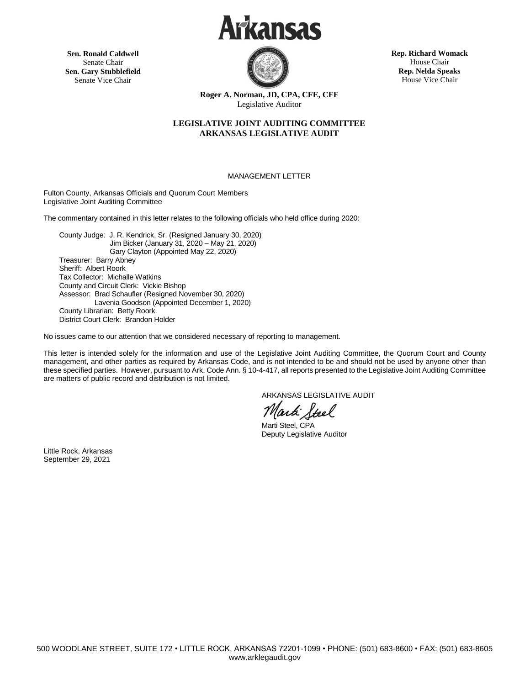rkansas

**Sen. Ronald Caldwell** Senate Chair **Sen. Gary Stubblefield** Senate Vice Chair



**Rep. Richard Womack** House Chair **Rep. Nelda Speaks** House Vice Chair

**Roger A. Norman, JD, CPA, CFE, CFF** Legislative Auditor

# **LEGISLATIVE JOINT AUDITING COMMITTEE ARKANSAS LEGISLATIVE AUDIT**

## MANAGEMENT LETTER

Fulton County, Arkansas Officials and Quorum Court Members Legislative Joint Auditing Committee

The commentary contained in this letter relates to the following officials who held office during 2020:

County Judge: J. R. Kendrick, Sr. (Resigned January 30, 2020) Jim Bicker (January 31, 2020 – May 21, 2020) Gary Clayton (Appointed May 22, 2020) Treasurer: Barry Abney Sheriff: Albert Roork Tax Collector: Michalle Watkins County and Circuit Clerk: Vickie Bishop Assessor: Brad Schaufler (Resigned November 30, 2020) Lavenia Goodson (Appointed December 1, 2020) County Librarian: Betty Roork District Court Clerk: Brandon Holder

No issues came to our attention that we considered necessary of reporting to management.

This letter is intended solely for the information and use of the Legislative Joint Auditing Committee, the Quorum Court and County management, and other parties as required by Arkansas Code, and is not intended to be and should not be used by anyone other than these specified parties. However, pursuant to Ark. Code Ann. § 10-4-417, all reports presented to the Legislative Joint Auditing Committee are matters of public record and distribution is not limited.

ARKANSAS LEGISLATIVE AUDIT

Mark Steel

Marti Steel, CPA Deputy Legislative Auditor

Little Rock, Arkansas September 29, 2021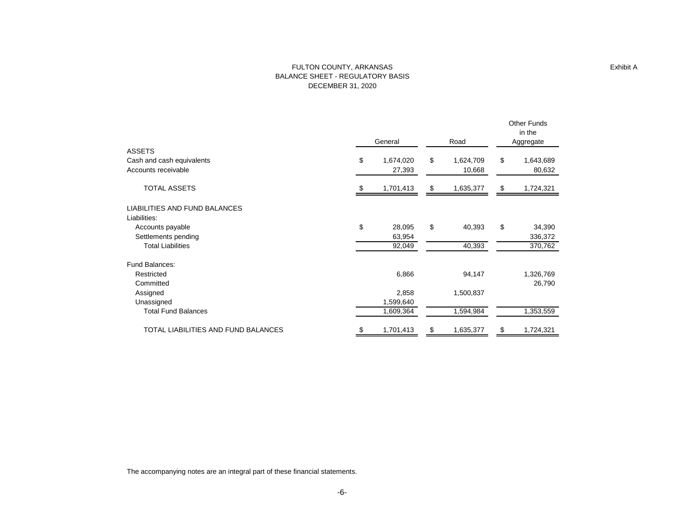# FULTON COUNTY, ARKANSAS BALANCE SHEET - REGULATORY BASIS DECEMBER 31, 2020

|                                     | General |           |    | Road      | <b>Other Funds</b><br>in the<br>Aggregate |           |  |
|-------------------------------------|---------|-----------|----|-----------|-------------------------------------------|-----------|--|
| <b>ASSETS</b>                       |         |           |    |           |                                           |           |  |
| Cash and cash equivalents           | \$      | 1,674,020 | \$ | 1,624,709 | \$                                        | 1,643,689 |  |
| Accounts receivable                 |         | 27,393    |    | 10,668    |                                           | 80,632    |  |
| <b>TOTAL ASSETS</b>                 |         | 1,701,413 | \$ | 1,635,377 | \$                                        | 1,724,321 |  |
| LIABILITIES AND FUND BALANCES       |         |           |    |           |                                           |           |  |
| Liabilities:                        |         |           |    |           |                                           |           |  |
| Accounts payable                    | \$      | 28,095    | \$ | 40,393    | \$                                        | 34,390    |  |
| Settlements pending                 |         | 63,954    |    |           |                                           | 336,372   |  |
| <b>Total Liabilities</b>            |         | 92,049    |    | 40,393    |                                           | 370,762   |  |
| Fund Balances:                      |         |           |    |           |                                           |           |  |
| Restricted                          |         | 6,866     |    | 94,147    |                                           | 1,326,769 |  |
| Committed                           |         |           |    |           |                                           | 26,790    |  |
| Assigned                            |         | 2,858     |    | 1,500,837 |                                           |           |  |
| Unassigned                          |         | 1,599,640 |    |           |                                           |           |  |
| <b>Total Fund Balances</b>          |         | 1,609,364 |    | 1,594,984 |                                           | 1,353,559 |  |
| TOTAL LIABILITIES AND FUND BALANCES | S       | 1,701,413 | \$ | 1,635,377 | S                                         | 1,724,321 |  |

The accompanying notes are an integral part of these financial statements.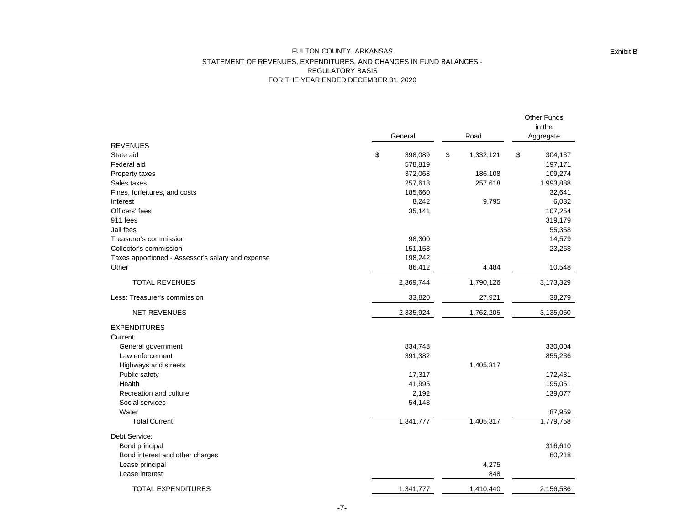# FULTON COUNTY, ARKANSAS STATEMENT OF REVENUES, EXPENDITURES, AND CHANGES IN FUND BALANCES - REGULATORY BASIS FOR THE YEAR ENDED DECEMBER 31, 2020

|                                                   | General |               | Road      | <b>Other Funds</b><br>in the<br>Aggregate |
|---------------------------------------------------|---------|---------------|-----------|-------------------------------------------|
| <b>REVENUES</b>                                   |         |               |           |                                           |
| State aid                                         | \$      | \$<br>398,089 | 1,332,121 | \$<br>304,137                             |
| Federal aid                                       |         | 578,819       |           | 197,171                                   |
| Property taxes                                    |         | 372,068       | 186,108   | 109,274                                   |
| Sales taxes                                       |         | 257,618       | 257,618   | 1,993,888                                 |
| Fines, forfeitures, and costs                     |         | 185,660       |           | 32,641                                    |
| Interest                                          |         | 8,242         | 9,795     | 6,032                                     |
| Officers' fees                                    |         | 35,141        |           | 107,254                                   |
| 911 fees                                          |         |               |           | 319,179                                   |
| Jail fees                                         |         |               |           | 55,358                                    |
| Treasurer's commission                            |         | 98,300        |           | 14,579                                    |
| Collector's commission                            |         | 151,153       |           | 23,268                                    |
| Taxes apportioned - Assessor's salary and expense |         | 198,242       |           |                                           |
| Other                                             |         | 86,412        | 4,484     | 10,548                                    |
| <b>TOTAL REVENUES</b>                             |         | 2,369,744     | 1,790,126 | 3,173,329                                 |
| Less: Treasurer's commission                      |         | 33,820        | 27,921    | 38,279                                    |
| <b>NET REVENUES</b>                               |         | 2,335,924     | 1,762,205 | 3,135,050                                 |
| <b>EXPENDITURES</b>                               |         |               |           |                                           |
| Current:                                          |         |               |           |                                           |
| General government                                |         | 834,748       |           | 330,004                                   |
| Law enforcement                                   |         | 391,382       |           | 855,236                                   |
| Highways and streets                              |         |               | 1,405,317 |                                           |
| Public safety                                     |         | 17,317        |           | 172,431                                   |
| Health                                            |         | 41,995        |           | 195,051                                   |
| Recreation and culture                            |         | 2,192         |           | 139,077                                   |
| Social services                                   |         | 54,143        |           |                                           |
| Water                                             |         |               |           | 87,959                                    |
| <b>Total Current</b>                              |         | 1,341,777     | 1,405,317 | 1,779,758                                 |
| Debt Service:                                     |         |               |           |                                           |
| Bond principal                                    |         |               |           | 316,610                                   |
| Bond interest and other charges                   |         |               |           | 60,218                                    |
| Lease principal                                   |         |               | 4,275     |                                           |
| Lease interest                                    |         |               | 848       |                                           |
| <b>TOTAL EXPENDITURES</b>                         |         | 1,341,777     | 1,410,440 | 2,156,586                                 |

Exhibit B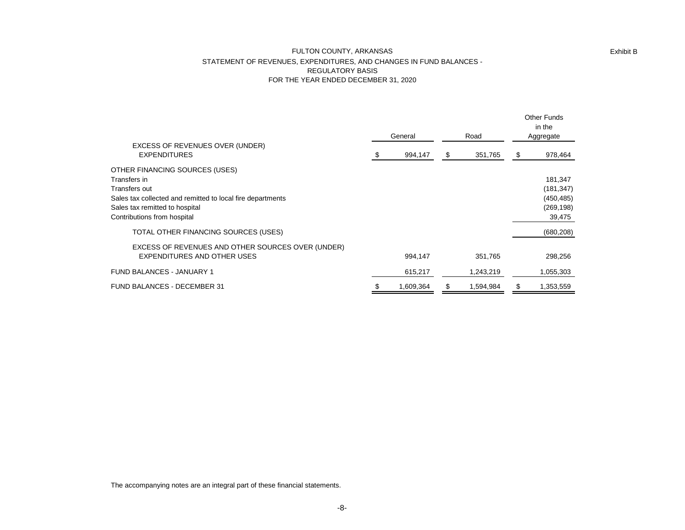# FULTON COUNTY, ARKANSAS STATEMENT OF REVENUES, EXPENDITURES, AND CHANGES IN FUND BALANCES - REGULATORY BASIS FOR THE YEAR ENDED DECEMBER 31, 2020

|                                                                                                                                                                                                       | General   |    | Road      | <b>Other Funds</b><br>in the<br>Aggregate                   |
|-------------------------------------------------------------------------------------------------------------------------------------------------------------------------------------------------------|-----------|----|-----------|-------------------------------------------------------------|
| EXCESS OF REVENUES OVER (UNDER)<br><b>EXPENDITURES</b>                                                                                                                                                | 994,147   | \$ | 351,765   | \$<br>978,464                                               |
| OTHER FINANCING SOURCES (USES)<br>Transfers in<br><b>Transfers out</b><br>Sales tax collected and remitted to local fire departments<br>Sales tax remitted to hospital<br>Contributions from hospital |           |    |           | 181,347<br>(181, 347)<br>(450, 485)<br>(269, 198)<br>39,475 |
| TOTAL OTHER FINANCING SOURCES (USES)                                                                                                                                                                  |           |    |           | (680, 208)                                                  |
| EXCESS OF REVENUES AND OTHER SOURCES OVER (UNDER)<br>EXPENDITURES AND OTHER USES                                                                                                                      | 994,147   |    | 351,765   | 298,256                                                     |
| <b>FUND BALANCES - JANUARY 1</b>                                                                                                                                                                      | 615,217   |    | 1,243,219 | 1,055,303                                                   |
| <b>FUND BALANCES - DECEMBER 31</b>                                                                                                                                                                    | 1,609,364 | Ж  | 1,594,984 | 1,353,559                                                   |

The accompanying notes are an integral part of these financial statements.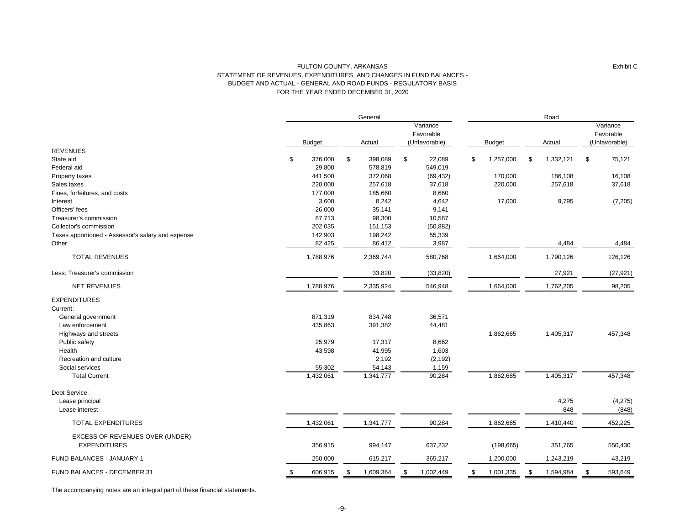#### BUDGET AND ACTUAL - GENERAL AND ROAD FUNDS - REGULATORY BASIS FOR THE YEAR ENDED DECEMBER 31, 2020 FULTON COUNTY, ARKANSAS STATEMENT OF REVENUES, EXPENDITURES, AND CHANGES IN FUND BALANCES -

|                                                        | General       |           |        |           |    |                                        | Road |               |    |           |    |                                        |  |
|--------------------------------------------------------|---------------|-----------|--------|-----------|----|----------------------------------------|------|---------------|----|-----------|----|----------------------------------------|--|
|                                                        | <b>Budget</b> |           | Actual |           |    | Variance<br>Favorable<br>(Unfavorable) |      | <b>Budget</b> |    | Actual    |    | Variance<br>Favorable<br>(Unfavorable) |  |
| <b>REVENUES</b>                                        |               |           |        |           |    |                                        |      |               |    |           |    |                                        |  |
| State aid                                              | \$            | 376,000   | \$     | 398.089   | \$ | 22,089                                 | \$   | 1,257,000     | \$ | 1,332,121 | \$ | 75,121                                 |  |
| Federal aid                                            |               | 29,800    |        | 578,819   |    | 549,019                                |      |               |    |           |    |                                        |  |
| Property taxes                                         |               | 441,500   |        | 372,068   |    | (69, 432)                              |      | 170,000       |    | 186,108   |    | 16,108                                 |  |
| Sales taxes                                            |               | 220,000   |        | 257,618   |    | 37,618                                 |      | 220,000       |    | 257,618   |    | 37,618                                 |  |
| Fines, forfeitures, and costs                          |               | 177,000   |        | 185,660   |    | 8,660                                  |      |               |    |           |    |                                        |  |
| Interest                                               |               | 3,600     |        | 8,242     |    | 4,642                                  |      | 17,000        |    | 9,795     |    | (7, 205)                               |  |
| Officers' fees                                         |               | 26,000    |        | 35,141    |    | 9,141                                  |      |               |    |           |    |                                        |  |
| Treasurer's commission                                 |               | 87,713    |        | 98,300    |    | 10,587                                 |      |               |    |           |    |                                        |  |
| Collector's commission                                 |               | 202,035   |        | 151,153   |    | (50, 882)                              |      |               |    |           |    |                                        |  |
| Taxes apportioned - Assessor's salary and expense      |               | 142,903   |        | 198,242   |    | 55,339                                 |      |               |    |           |    |                                        |  |
| Other                                                  |               | 82,425    |        | 86,412    |    | 3,987                                  |      |               |    | 4,484     |    | 4,484                                  |  |
| <b>TOTAL REVENUES</b>                                  |               | 1,788,976 |        | 2,369,744 |    | 580,768                                |      | 1,664,000     |    | 1,790,126 |    | 126,126                                |  |
| Less: Treasurer's commission                           |               |           |        | 33,820    |    | (33, 820)                              |      |               |    | 27,921    |    | (27, 921)                              |  |
| <b>NET REVENUES</b>                                    |               | 1,788,976 |        | 2,335,924 |    | 546,948                                |      | 1,664,000     |    | 1,762,205 |    | 98,205                                 |  |
| <b>EXPENDITURES</b>                                    |               |           |        |           |    |                                        |      |               |    |           |    |                                        |  |
| Current:                                               |               |           |        |           |    |                                        |      |               |    |           |    |                                        |  |
| General government                                     |               | 871,319   |        | 834,748   |    | 36,571                                 |      |               |    |           |    |                                        |  |
| Law enforcement                                        |               | 435,863   |        | 391,382   |    | 44,481                                 |      |               |    |           |    |                                        |  |
| Highways and streets                                   |               |           |        |           |    |                                        |      | 1,862,665     |    | 1,405,317 |    | 457,348                                |  |
| Public safety                                          |               | 25,979    |        | 17,317    |    | 8,662                                  |      |               |    |           |    |                                        |  |
| Health                                                 |               | 43,598    |        | 41,995    |    | 1,603                                  |      |               |    |           |    |                                        |  |
| Recreation and culture                                 |               |           |        | 2,192     |    | (2, 192)                               |      |               |    |           |    |                                        |  |
| Social services                                        |               | 55,302    |        | 54,143    |    | 1,159                                  |      |               |    |           |    |                                        |  |
| <b>Total Current</b>                                   |               | 1,432,061 |        | 1,341,777 |    | 90,284                                 |      | 1,862,665     |    | 1,405,317 |    | 457,348                                |  |
| Debt Service:                                          |               |           |        |           |    |                                        |      |               |    |           |    |                                        |  |
| Lease principal                                        |               |           |        |           |    |                                        |      |               |    | 4,275     |    | (4,275)                                |  |
| Lease interest                                         |               |           |        |           |    |                                        |      |               |    | 848       |    | (848)                                  |  |
| <b>TOTAL EXPENDITURES</b>                              |               | 1,432,061 |        | 1,341,777 |    | 90,284                                 |      | 1,862,665     |    | 1,410,440 |    | 452,225                                |  |
| EXCESS OF REVENUES OVER (UNDER)<br><b>EXPENDITURES</b> |               | 356,915   |        | 994,147   |    | 637,232                                |      | (198, 665)    |    | 351,765   |    | 550,430                                |  |
| FUND BALANCES - JANUARY 1                              |               | 250,000   |        | 615,217   |    | 365,217                                |      | 1,200,000     |    | 1,243,219 |    | 43,219                                 |  |
|                                                        |               |           |        |           |    |                                        |      |               |    |           |    |                                        |  |
| FUND BALANCES - DECEMBER 31                            |               | 606,915   | S      | 1,609,364 | \$ | 1,002,449                              |      | 1,001,335     | S  | 1,594,984 |    | 593,649                                |  |

The accompanying notes are an integral part of these financial statements.

Exhibit C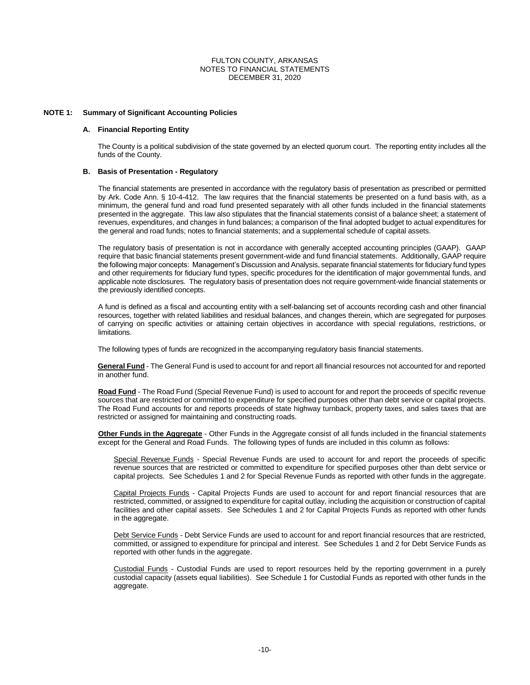#### **NOTE 1: Summary of Significant Accounting Policies**

#### **A. Financial Reporting Entity**

The County is a political subdivision of the state governed by an elected quorum court. The reporting entity includes all the funds of the County.

# **B. Basis of Presentation - Regulatory**

The financial statements are presented in accordance with the regulatory basis of presentation as prescribed or permitted by Ark. Code Ann. § 10-4-412. The law requires that the financial statements be presented on a fund basis with, as a minimum, the general fund and road fund presented separately with all other funds included in the financial statements presented in the aggregate. This law also stipulates that the financial statements consist of a balance sheet; a statement of revenues, expenditures, and changes in fund balances; a comparison of the final adopted budget to actual expenditures for the general and road funds; notes to financial statements; and a supplemental schedule of capital assets.

The regulatory basis of presentation is not in accordance with generally accepted accounting principles (GAAP). GAAP require that basic financial statements present government-wide and fund financial statements. Additionally, GAAP require the following major concepts: Management's Discussion and Analysis, separate financial statements for fiduciary fund types and other requirements for fiduciary fund types, specific procedures for the identification of major governmental funds, and applicable note disclosures. The regulatory basis of presentation does not require government-wide financial statements or the previously identified concepts.

A fund is defined as a fiscal and accounting entity with a self-balancing set of accounts recording cash and other financial resources, together with related liabilities and residual balances, and changes therein, which are segregated for purposes of carrying on specific activities or attaining certain objectives in accordance with special regulations, restrictions, or limitations.

The following types of funds are recognized in the accompanying regulatory basis financial statements.

**General Fund** - The General Fund is used to account for and report all financial resources not accounted for and reported in another fund.

**Road Fund** - The Road Fund (Special Revenue Fund) is used to account for and report the proceeds of specific revenue sources that are restricted or committed to expenditure for specified purposes other than debt service or capital projects. The Road Fund accounts for and reports proceeds of state highway turnback, property taxes, and sales taxes that are restricted or assigned for maintaining and constructing roads.

**Other Funds in the Aggregate** - Other Funds in the Aggregate consist of all funds included in the financial statements except for the General and Road Funds. The following types of funds are included in this column as follows:

Special Revenue Funds - Special Revenue Funds are used to account for and report the proceeds of specific revenue sources that are restricted or committed to expenditure for specified purposes other than debt service or capital projects. See Schedules 1 and 2 for Special Revenue Funds as reported with other funds in the aggregate.

Capital Projects Funds - Capital Projects Funds are used to account for and report financial resources that are restricted, committed, or assigned to expenditure for capital outlay, including the acquisition or construction of capital facilities and other capital assets. See Schedules 1 and 2 for Capital Projects Funds as reported with other funds in the aggregate.

Debt Service Funds - Debt Service Funds are used to account for and report financial resources that are restricted, committed, or assigned to expenditure for principal and interest. See Schedules 1 and 2 for Debt Service Funds as reported with other funds in the aggregate.

Custodial Funds - Custodial Funds are used to report resources held by the reporting government in a purely custodial capacity (assets equal liabilities). See Schedule 1 for Custodial Funds as reported with other funds in the aggregate.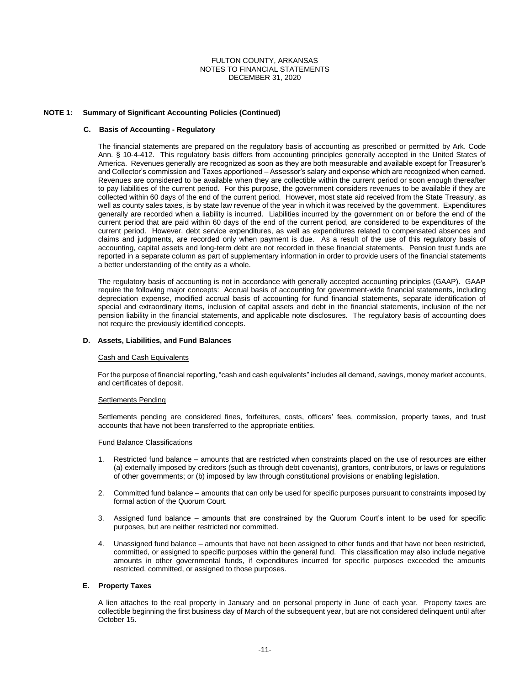#### **NOTE 1: Summary of Significant Accounting Policies (Continued)**

#### **C. Basis of Accounting - Regulatory**

The financial statements are prepared on the regulatory basis of accounting as prescribed or permitted by Ark. Code Ann. § 10-4-412. This regulatory basis differs from accounting principles generally accepted in the United States of America. Revenues generally are recognized as soon as they are both measurable and available except for Treasurer's and Collector's commission and Taxes apportioned – Assessor's salary and expense which are recognized when earned. Revenues are considered to be available when they are collectible within the current period or soon enough thereafter to pay liabilities of the current period. For this purpose, the government considers revenues to be available if they are collected within 60 days of the end of the current period. However, most state aid received from the State Treasury, as well as county sales taxes, is by state law revenue of the year in which it was received by the government. Expenditures generally are recorded when a liability is incurred. Liabilities incurred by the government on or before the end of the current period that are paid within 60 days of the end of the current period, are considered to be expenditures of the current period. However, debt service expenditures, as well as expenditures related to compensated absences and claims and judgments, are recorded only when payment is due. As a result of the use of this regulatory basis of accounting, capital assets and long-term debt are not recorded in these financial statements. Pension trust funds are reported in a separate column as part of supplementary information in order to provide users of the financial statements a better understanding of the entity as a whole.

The regulatory basis of accounting is not in accordance with generally accepted accounting principles (GAAP). GAAP require the following major concepts: Accrual basis of accounting for government-wide financial statements, including depreciation expense, modified accrual basis of accounting for fund financial statements, separate identification of special and extraordinary items, inclusion of capital assets and debt in the financial statements, inclusion of the net pension liability in the financial statements, and applicable note disclosures. The regulatory basis of accounting does not require the previously identified concepts.

#### **D. Assets, Liabilities, and Fund Balances**

#### Cash and Cash Equivalents

For the purpose of financial reporting, "cash and cash equivalents" includes all demand, savings, money market accounts, and certificates of deposit.

#### **Settlements Pending**

Settlements pending are considered fines, forfeitures, costs, officers' fees, commission, property taxes, and trust accounts that have not been transferred to the appropriate entities.

#### Fund Balance Classifications

- 1. Restricted fund balance amounts that are restricted when constraints placed on the use of resources are either (a) externally imposed by creditors (such as through debt covenants), grantors, contributors, or laws or regulations of other governments; or (b) imposed by law through constitutional provisions or enabling legislation.
- 2. Committed fund balance amounts that can only be used for specific purposes pursuant to constraints imposed by formal action of the Quorum Court.
- 3. Assigned fund balance amounts that are constrained by the Quorum Court's intent to be used for specific purposes, but are neither restricted nor committed.
- 4. Unassigned fund balance amounts that have not been assigned to other funds and that have not been restricted, committed, or assigned to specific purposes within the general fund. This classification may also include negative amounts in other governmental funds, if expenditures incurred for specific purposes exceeded the amounts restricted, committed, or assigned to those purposes.

### **E. Property Taxes**

A lien attaches to the real property in January and on personal property in June of each year. Property taxes are collectible beginning the first business day of March of the subsequent year, but are not considered delinquent until after October 15.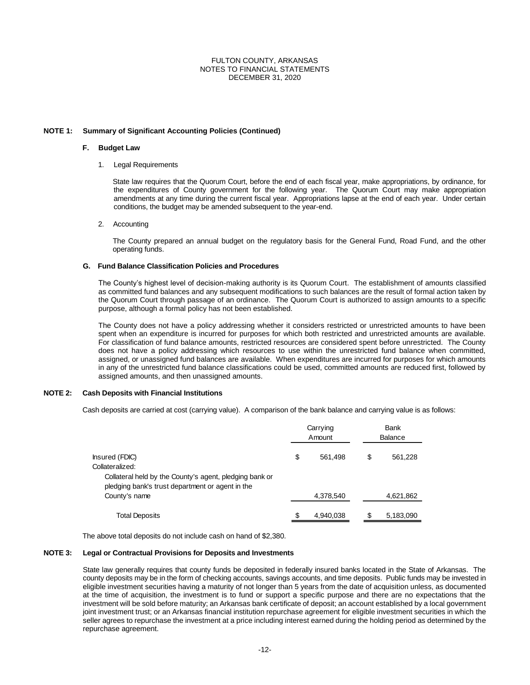### **NOTE 1: Summary of Significant Accounting Policies (Continued)**

#### **F. Budget Law**

#### 1. Legal Requirements

State law requires that the Quorum Court, before the end of each fiscal year, make appropriations, by ordinance, for the expenditures of County government for the following year. The Quorum Court may make appropriation amendments at any time during the current fiscal year. Appropriations lapse at the end of each year. Under certain conditions, the budget may be amended subsequent to the year-end.

#### 2. Accounting

The County prepared an annual budget on the regulatory basis for the General Fund, Road Fund, and the other operating funds.

### **G. Fund Balance Classification Policies and Procedures**

The County's highest level of decision-making authority is its Quorum Court. The establishment of amounts classified as committed fund balances and any subsequent modifications to such balances are the result of formal action taken by the Quorum Court through passage of an ordinance. The Quorum Court is authorized to assign amounts to a specific purpose, although a formal policy has not been established.

The County does not have a policy addressing whether it considers restricted or unrestricted amounts to have been spent when an expenditure is incurred for purposes for which both restricted and unrestricted amounts are available. For classification of fund balance amounts, restricted resources are considered spent before unrestricted. The County does not have a policy addressing which resources to use within the unrestricted fund balance when committed, assigned, or unassigned fund balances are available. When expenditures are incurred for purposes for which amounts in any of the unrestricted fund balance classifications could be used, committed amounts are reduced first, followed by assigned amounts, and then unassigned amounts.

#### **NOTE 2: Cash Deposits with Financial Institutions**

Cash deposits are carried at cost (carrying value). A comparison of the bank balance and carrying value is as follows:

| Carrying<br>Amount |           | Bank<br>Balance |           |  |
|--------------------|-----------|-----------------|-----------|--|
| \$                 | 561.498   | \$              | 561.228   |  |
|                    |           |                 |           |  |
|                    |           |                 |           |  |
|                    |           |                 |           |  |
|                    | 4,378,540 |                 | 4,621,862 |  |
|                    |           |                 |           |  |
| \$.                | 4,940,038 | \$.             | 5,183,090 |  |
|                    |           |                 |           |  |

The above total deposits do not include cash on hand of \$2,380.

#### **NOTE 3: Legal or Contractual Provisions for Deposits and Investments**

State law generally requires that county funds be deposited in federally insured banks located in the State of Arkansas. The county deposits may be in the form of checking accounts, savings accounts, and time deposits. Public funds may be invested in eligible investment securities having a maturity of not longer than 5 years from the date of acquisition unless, as documented at the time of acquisition, the investment is to fund or support a specific purpose and there are no expectations that the investment will be sold before maturity; an Arkansas bank certificate of deposit; an account established by a local government joint investment trust; or an Arkansas financial institution repurchase agreement for eligible investment securities in which the seller agrees to repurchase the investment at a price including interest earned during the holding period as determined by the repurchase agreement.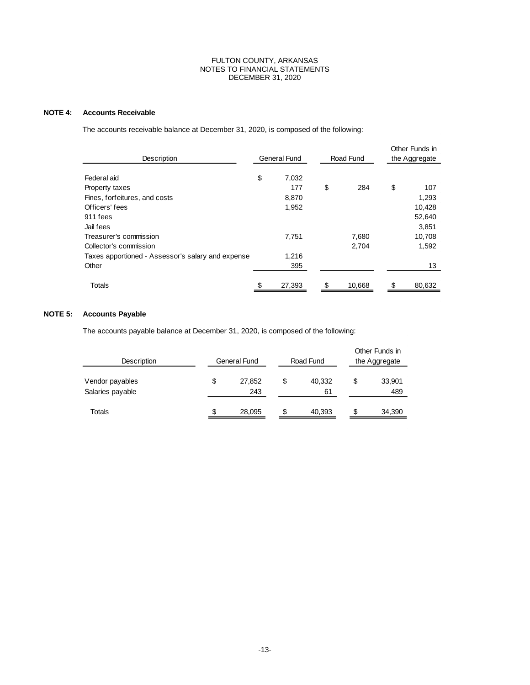# **NOTE 4: Accounts Receivable**

The accounts receivable balance at December 31, 2020, is composed of the following:

|                                                   |    |              |           |    | Other Funds in |
|---------------------------------------------------|----|--------------|-----------|----|----------------|
| Description                                       |    | General Fund | Road Fund |    | the Aggregate  |
|                                                   |    |              |           |    |                |
| Federal aid                                       | \$ | 7,032        |           |    |                |
| Property taxes                                    |    | 177          | \$<br>284 | \$ | 107            |
| Fines, forfeitures, and costs                     |    | 8,870        |           |    | 1,293          |
| Officers' fees                                    |    | 1,952        |           |    | 10,428         |
| 911 fees                                          |    |              |           |    | 52,640         |
| Jail fees                                         |    |              |           |    | 3,851          |
| Treasurer's commission                            |    | 7,751        | 7,680     |    | 10,708         |
| Collector's commission                            |    |              | 2,704     |    | 1,592          |
| Taxes apportioned - Assessor's salary and expense |    | 1,216        |           |    |                |
| Other                                             |    | 395          |           |    | 13             |
|                                                   |    |              |           |    |                |
| Totals                                            |    | 27,393       | 10,668    |    | 80,632         |

# **NOTE 5: Accounts Payable**

The accounts payable balance at December 31, 2020, is composed of the following:

| Description                         | Road Fund<br>General Fund |               |   |              |   | Other Funds in<br>the Aggregate |
|-------------------------------------|---------------------------|---------------|---|--------------|---|---------------------------------|
| Vendor payables<br>Salaries payable | \$                        | 27,852<br>243 | S | 40.332<br>61 | S | 33,901<br>489                   |
| Totals                              | S                         | 28,095        | S | 40,393       | S | 34,390                          |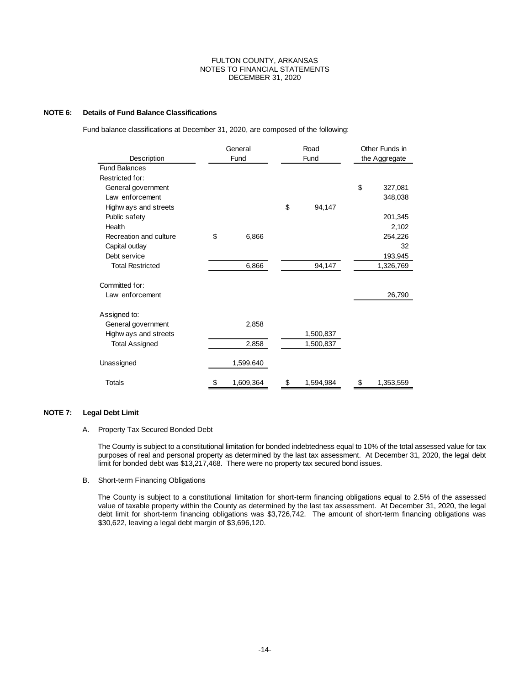#### **NOTE 6: Details of Fund Balance Classifications**

Fund balance classifications at December 31, 2020, are composed of the following:

|                         | General         |      | Road      | Other Funds in |               |  |
|-------------------------|-----------------|------|-----------|----------------|---------------|--|
| Description             | Fund            | Fund |           |                | the Aggregate |  |
| <b>Fund Balances</b>    |                 |      |           |                |               |  |
| Restricted for:         |                 |      |           |                |               |  |
| General government      |                 |      |           | \$             | 327,081       |  |
| Law enforcement         |                 |      |           |                | 348,038       |  |
| Highw ays and streets   |                 | \$   | 94,147    |                |               |  |
| Public safety           |                 |      |           |                | 201,345       |  |
| Health                  |                 |      |           |                | 2,102         |  |
| Recreation and culture  | \$<br>6,866     |      |           |                | 254,226       |  |
| Capital outlay          |                 |      |           |                | 32            |  |
| Debt service            |                 |      |           |                | 193,945       |  |
| <b>Total Restricted</b> | 6,866           |      | 94,147    |                | 1,326,769     |  |
|                         |                 |      |           |                |               |  |
| Committed for:          |                 |      |           |                |               |  |
| Law enforcement         |                 |      |           |                | 26,790        |  |
|                         |                 |      |           |                |               |  |
| Assigned to:            |                 |      |           |                |               |  |
| General government      | 2,858           |      |           |                |               |  |
| Highw ays and streets   |                 |      | 1,500,837 |                |               |  |
| <b>Total Assigned</b>   | 2,858           |      | 1,500,837 |                |               |  |
|                         |                 |      |           |                |               |  |
| Unassigned              | 1,599,640       |      |           |                |               |  |
|                         |                 |      |           |                |               |  |
| Totals                  | \$<br>1,609,364 | \$   | 1,594,984 | \$             | 1,353,559     |  |

#### **NOTE 7: Legal Debt Limit**

#### A. Property Tax Secured Bonded Debt

The County is subject to a constitutional limitation for bonded indebtedness equal to 10% of the total assessed value for tax purposes of real and personal property as determined by the last tax assessment. At December 31, 2020, the legal debt limit for bonded debt was \$13,217,468. There were no property tax secured bond issues.

# B. Short-term Financing Obligations

The County is subject to a constitutional limitation for short-term financing obligations equal to 2.5% of the assessed value of taxable property within the County as determined by the last tax assessment. At December 31, 2020, the legal debt limit for short-term financing obligations was \$3,726,742. The amount of short-term financing obligations was \$30,622, leaving a legal debt margin of \$3,696,120.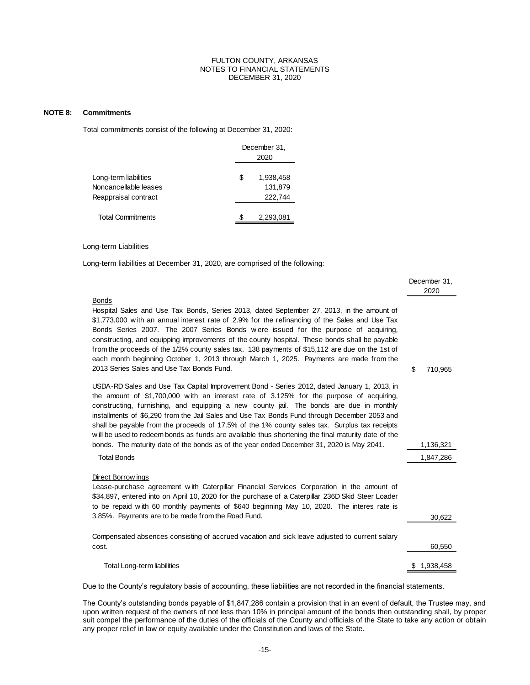#### **NOTE 8: Commitments**

Total commitments consist of the following at December 31, 2020:

|   | December 31,<br>2020 |
|---|----------------------|
| S | 1,938,458            |
|   | 131.879              |
|   | 222,744              |
|   | 2,293,081            |
|   |                      |

#### Long-term Liabilities

Long-term liabilities at December 31, 2020, are comprised of the following:

|                                                                                                                                                                                                                                                                                                                                                                                                                                                                                                                                                                                                                                                                                      | December 31,<br>2020 |
|--------------------------------------------------------------------------------------------------------------------------------------------------------------------------------------------------------------------------------------------------------------------------------------------------------------------------------------------------------------------------------------------------------------------------------------------------------------------------------------------------------------------------------------------------------------------------------------------------------------------------------------------------------------------------------------|----------------------|
| <b>Bonds</b><br>Hospital Sales and Use Tax Bonds, Series 2013, dated September 27, 2013, in the amount of<br>\$1,773,000 with an annual interest rate of 2.9% for the refinancing of the Sales and Use Tax<br>Bonds Series 2007. The 2007 Series Bonds were issued for the purpose of acquiring,<br>constructing, and equipping improvements of the county hospital. These bonds shall be payable<br>from the proceeds of the 1/2% county sales tax. 138 payments of \$15,112 are due on the 1st of<br>each month beginning October 1, 2013 through March 1, 2025. Payments are made from the<br>2013 Series Sales and Use Tax Bonds Fund.                                           | \$<br>710,965        |
| USDA-RD Sales and Use Tax Capital Improvement Bond - Series 2012, dated January 1, 2013, in<br>the amount of \$1,700,000 with an interest rate of 3.125% for the purpose of acquiring,<br>constructing, furnishing, and equipping a new county jail. The bonds are due in monthly<br>installments of \$6,290 from the Jail Sales and Use Tax Bonds Fund through December 2053 and<br>shall be payable from the proceeds of 17.5% of the 1% county sales tax. Surplus tax receipts<br>will be used to redeem bonds as funds are available thus shortening the final maturity date of the<br>bonds. The maturity date of the bonds as of the year ended December 31, 2020 is May 2041. | 1,136,321            |
| <b>Total Bonds</b>                                                                                                                                                                                                                                                                                                                                                                                                                                                                                                                                                                                                                                                                   | 1,847,286            |
| Direct Borrow ings<br>Lease-purchase agreement with Caterpillar Financial Services Corporation in the amount of<br>\$34,897, entered into on April 10, 2020 for the purchase of a Caterpillar 236D Skid Steer Loader<br>to be repaid with 60 monthly payments of \$640 beginning May 10, 2020. The interes rate is<br>3.85%. Payments are to be made from the Road Fund.                                                                                                                                                                                                                                                                                                             | 30,622               |
| Compensated absences consisting of accrued vacation and sick leave adjusted to current salary<br>cost.                                                                                                                                                                                                                                                                                                                                                                                                                                                                                                                                                                               | 60,550               |
| <b>Total Long-term liabilities</b>                                                                                                                                                                                                                                                                                                                                                                                                                                                                                                                                                                                                                                                   | \$1,938,458          |

Due to the County's regulatory basis of accounting, these liabilities are not recorded in the financial statements.

The County's outstanding bonds payable of \$1,847,286 contain a provision that in an event of default, the Trustee may, and upon written request of the owners of not less than 10% in principal amount of the bonds then outstanding shall, by proper suit compel the performance of the duties of the officials of the County and officials of the State to take any action or obtain any proper relief in law or equity available under the Constitution and laws of the State.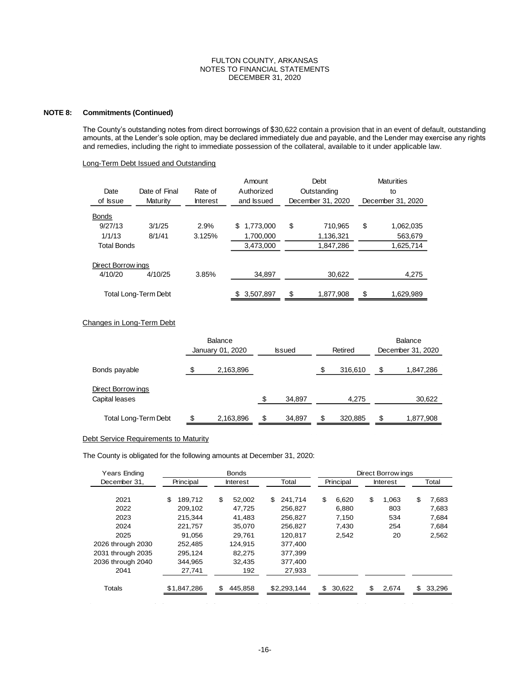#### **NOTE 8: Commitments (Continued)**

The County's outstanding notes from direct borrowings of \$30,622 contain a provision that in an event of default, outstanding amounts, at the Lender's sole option, may be declared immediately due and payable, and the Lender may exercise any rights and remedies, including the right to immediate possession of the collateral, available to it under applicable law.

Long-Term Debt Issued and Outstanding

| Date               | Date of Final        | Rate of         | Amount<br>Authorized | Debt<br>Outstanding |                   |    | <b>Maturities</b><br>to |
|--------------------|----------------------|-----------------|----------------------|---------------------|-------------------|----|-------------------------|
| of <b>Issue</b>    | Maturity             | <b>Interest</b> | and <b>Issued</b>    |                     | December 31, 2020 |    | December 31, 2020       |
| <b>Bonds</b>       |                      |                 |                      |                     |                   |    |                         |
| 9/27/13            | 3/1/25               | 2.9%            | 1,773,000<br>S       | \$                  | 710.965           | \$ | 1,062,035               |
| 1/1/13             | 8/1/41               | 3.125%          | 1.700.000            |                     | 1.136.321         |    | 563,679                 |
| <b>Total Bonds</b> |                      |                 | 3.473.000            |                     | 1.847.286         |    | 1,625,714               |
|                    |                      |                 |                      |                     |                   |    |                         |
| Direct Borrow ings |                      |                 |                      |                     |                   |    |                         |
| 4/10/20            | 4/10/25              | 3.85%           | 34.897               |                     | 30.622            |    | 4,275                   |
|                    |                      |                 |                      |                     |                   |    |                         |
|                    | Total Long-Term Debt |                 | 3,507,897            | \$                  | 1,877,908         | \$ | 1,629,989               |

## Changes in Long-Term Debt

|                                      | Balance<br>January 01, 2020 | <b>S</b> sued | Retired | Balance<br>December 31, 2020 |
|--------------------------------------|-----------------------------|---------------|---------|------------------------------|
| Bonds payable                        | \$<br>2,163,896             |               | 316,610 | \$<br>1,847,286              |
| Direct Borrow ings<br>Capital leases |                             | 34.897        | 4.275   | 30,622                       |
| Total Long-Term Debt                 | \$<br>2,163,896             | 34,897        | 320,885 | \$<br>1,877,908              |

#### Debt Service Requirements to Maturity

| Years Ending      |               | <b>Bonds</b>    |              |              | Direct Borrow ings |              |
|-------------------|---------------|-----------------|--------------|--------------|--------------------|--------------|
| December 31.      | Principal     | <b>Interest</b> | Total        | Principal    | <b>Interest</b>    | Total        |
| 2021              | \$<br>189,712 | \$.<br>52,002   | S<br>241,714 | \$<br>6,620  | \$<br>1,063        | S<br>7,683   |
| 2022              | 209,102       | 47,725          | 256,827      | 6,880        | 803                | 7,683        |
| 2023              | 215,344       | 41,483          | 256,827      | 7,150        | 534                | 7,684        |
| 2024              | 221,757       | 35,070          | 256,827      | 7,430        | 254                | 7,684        |
| 2025              | 91,056        | 29,761          | 120,817      | 2,542        | 20                 | 2,562        |
| 2026 through 2030 | 252,485       | 124,915         | 377,400      |              |                    |              |
| 2031 through 2035 | 295,124       | 82,275          | 377,399      |              |                    |              |
| 2036 through 2040 | 344,965       | 32,435          | 377,400      |              |                    |              |
| 2041              | 27,741        | 192             | 27,933       |              |                    |              |
| Totals            | \$1,847,286   | 445,858<br>\$   | \$2,293,144  | \$<br>30,622 | 2,674              | 33,296<br>S. |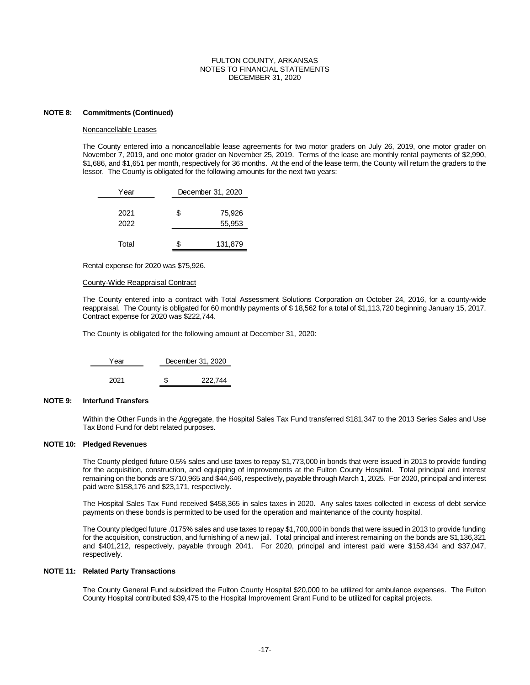#### **NOTE 8: Commitments (Continued)**

#### Noncancellable Leases

The County entered into a noncancellable lease agreements for two motor graders on July 26, 2019, one motor grader on November 7, 2019, and one motor grader on November 25, 2019. Terms of the lease are monthly rental payments of \$2,990, \$1,686, and \$1,651 per month, respectively for 36 months. At the end of the lease term, the County will return the graders to the lessor. The County is obligated for the following amounts for the next two years:

| Year         |    | December 31, 2020 |
|--------------|----|-------------------|
| 2021<br>2022 | \$ | 75,926<br>55,953  |
| Total        | ፍ  | 131,879           |

Rental expense for 2020 was \$75,926.

#### County-Wide Reappraisal Contract

The County entered into a contract with Total Assessment Solutions Corporation on October 24, 2016, for a county-wide reappraisal. The County is obligated for 60 monthly payments of \$ 18,562 for a total of \$1,113,720 beginning January 15, 2017. Contract expense for 2020 was \$222,744.

The County is obligated for the following amount at December 31, 2020:

| Year | December 31, 2020 |
|------|-------------------|
| 2021 | 222.744           |

#### **NOTE 9: Interfund Transfers**

Within the Other Funds in the Aggregate, the Hospital Sales Tax Fund transferred \$181,347 to the 2013 Series Sales and Use Tax Bond Fund for debt related purposes.

## **NOTE 10: Pledged Revenues**

The County pledged future 0.5% sales and use taxes to repay \$1,773,000 in bonds that were issued in 2013 to provide funding for the acquisition, construction, and equipping of improvements at the Fulton County Hospital. Total principal and interest remaining on the bonds are \$710,965 and \$44,646, respectively, payable through March 1, 2025. For 2020, principal and interest paid were \$158,176 and \$23,171, respectively.

The Hospital Sales Tax Fund received \$458,365 in sales taxes in 2020. Any sales taxes collected in excess of debt service payments on these bonds is permitted to be used for the operation and maintenance of the county hospital.

The County pledged future .0175% sales and use taxes to repay \$1,700,000 in bonds that were issued in 2013 to provide funding for the acquisition, construction, and furnishing of a new jail. Total principal and interest remaining on the bonds are \$1,136,321 and \$401,212, respectively, payable through 2041. For 2020, principal and interest paid were \$158,434 and \$37,047, respectively.

#### **NOTE 11: Related Party Transactions**

The County General Fund subsidized the Fulton County Hospital \$20,000 to be utilized for ambulance expenses. The Fulton County Hospital contributed \$39,475 to the Hospital Improvement Grant Fund to be utilized for capital projects.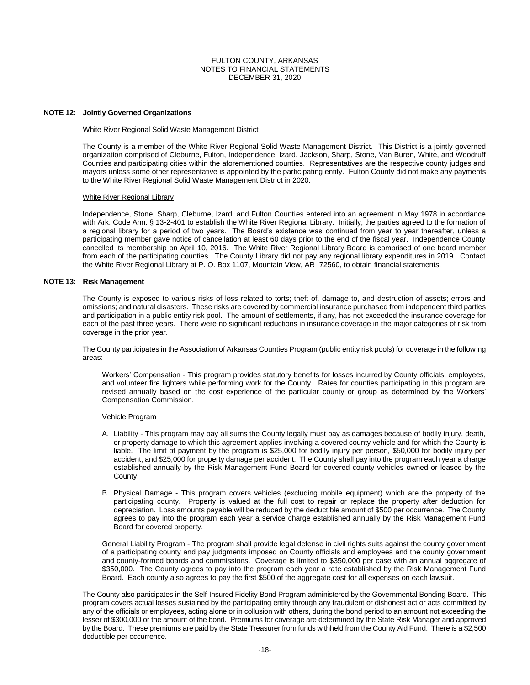#### **NOTE 12: Jointly Governed Organizations**

#### White River Regional Solid Waste Management District

The County is a member of the White River Regional Solid Waste Management District. This District is a jointly governed organization comprised of Cleburne, Fulton, Independence, Izard, Jackson, Sharp, Stone, Van Buren, White, and Woodruff Counties and participating cities within the aforementioned counties. Representatives are the respective county judges and mayors unless some other representative is appointed by the participating entity. Fulton County did not make any payments to the White River Regional Solid Waste Management District in 2020.

#### White River Regional Library

Independence, Stone, Sharp, Cleburne, Izard, and Fulton Counties entered into an agreement in May 1978 in accordance with Ark. Code Ann. § 13-2-401 to establish the White River Regional Library. Initially, the parties agreed to the formation of a regional library for a period of two years. The Board's existence was continued from year to year thereafter, unless a participating member gave notice of cancellation at least 60 days prior to the end of the fiscal year. Independence County cancelled its membership on April 10, 2016. The White River Regional Library Board is comprised of one board member from each of the participating counties. The County Library did not pay any regional library expenditures in 2019. Contact the White River Regional Library at P. O. Box 1107, Mountain View, AR 72560, to obtain financial statements.

### **NOTE 13: Risk Management**

The County is exposed to various risks of loss related to torts; theft of, damage to, and destruction of assets; errors and omissions; and natural disasters. These risks are covered by commercial insurance purchased from independent third parties and participation in a public entity risk pool. The amount of settlements, if any, has not exceeded the insurance coverage for each of the past three years. There were no significant reductions in insurance coverage in the major categories of risk from coverage in the prior year.

The County participates in the Association of Arkansas Counties Program (public entity risk pools) for coverage in the following areas:

Workers' Compensation - This program provides statutory benefits for losses incurred by County officials, employees, and volunteer fire fighters while performing work for the County. Rates for counties participating in this program are revised annually based on the cost experience of the particular county or group as determined by the Workers' Compensation Commission.

#### Vehicle Program

- A. Liability This program may pay all sums the County legally must pay as damages because of bodily injury, death, or property damage to which this agreement applies involving a covered county vehicle and for which the County is liable. The limit of payment by the program is \$25,000 for bodily injury per person, \$50,000 for bodily injury per accident, and \$25,000 for property damage per accident. The County shall pay into the program each year a charge established annually by the Risk Management Fund Board for covered county vehicles owned or leased by the County.
- B. Physical Damage This program covers vehicles (excluding mobile equipment) which are the property of the participating county. Property is valued at the full cost to repair or replace the property after deduction for depreciation. Loss amounts payable will be reduced by the deductible amount of \$500 per occurrence. The County agrees to pay into the program each year a service charge established annually by the Risk Management Fund Board for covered property.

General Liability Program - The program shall provide legal defense in civil rights suits against the county government of a participating county and pay judgments imposed on County officials and employees and the county government and county-formed boards and commissions. Coverage is limited to \$350,000 per case with an annual aggregate of \$350,000. The County agrees to pay into the program each year a rate established by the Risk Management Fund Board. Each county also agrees to pay the first \$500 of the aggregate cost for all expenses on each lawsuit.

The County also participates in the Self-Insured Fidelity Bond Program administered by the Governmental Bonding Board. This program covers actual losses sustained by the participating entity through any fraudulent or dishonest act or acts committed by any of the officials or employees, acting alone or in collusion with others, during the bond period to an amount not exceeding the lesser of \$300,000 or the amount of the bond. Premiums for coverage are determined by the State Risk Manager and approved by the Board. These premiums are paid by the State Treasurer from funds withheld from the County Aid Fund. There is a \$2,500 deductible per occurrence.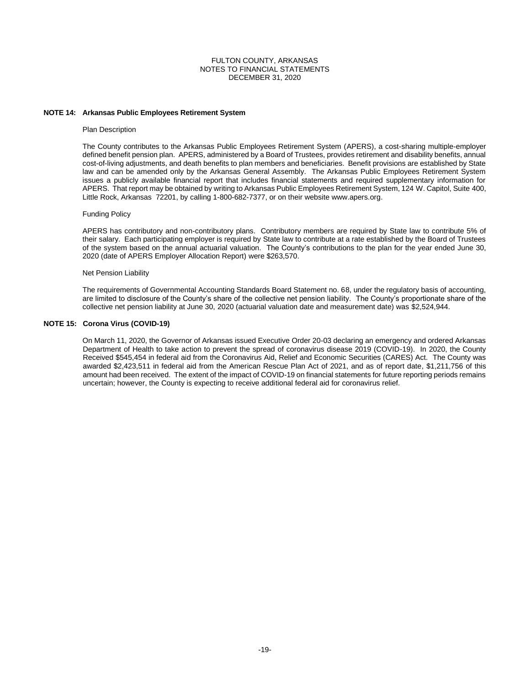#### **NOTE 14: Arkansas Public Employees Retirement System**

#### Plan Description

The County contributes to the Arkansas Public Employees Retirement System (APERS), a cost-sharing multiple-employer defined benefit pension plan. APERS, administered by a Board of Trustees, provides retirement and disability benefits, annual cost-of-living adjustments, and death benefits to plan members and beneficiaries. Benefit provisions are established by State law and can be amended only by the Arkansas General Assembly. The Arkansas Public Employees Retirement System issues a publicly available financial report that includes financial statements and required supplementary information for APERS. That report may be obtained by writing to Arkansas Public Employees Retirement System, 124 W. Capitol, Suite 400, Little Rock, Arkansas 72201, by calling 1-800-682-7377, or on their website www.apers.org.

#### Funding Policy

APERS has contributory and non-contributory plans. Contributory members are required by State law to contribute 5% of their salary. Each participating employer is required by State law to contribute at a rate established by the Board of Trustees of the system based on the annual actuarial valuation. The County's contributions to the plan for the year ended June 30, 2020 (date of APERS Employer Allocation Report) were \$263,570.

#### Net Pension Liability

The requirements of Governmental Accounting Standards Board Statement no. 68, under the regulatory basis of accounting, are limited to disclosure of the County's share of the collective net pension liability. The County's proportionate share of the collective net pension liability at June 30, 2020 (actuarial valuation date and measurement date) was \$2,524,944.

### **NOTE 15: Corona Virus (COVID-19)**

On March 11, 2020, the Governor of Arkansas issued Executive Order 20-03 declaring an emergency and ordered Arkansas Department of Health to take action to prevent the spread of coronavirus disease 2019 (COVID-19). In 2020, the County Received \$545,454 in federal aid from the Coronavirus Aid, Relief and Economic Securities (CARES) Act. The County was awarded \$2,423,511 in federal aid from the American Rescue Plan Act of 2021, and as of report date, \$1,211,756 of this amount had been received. The extent of the impact of COVID-19 on financial statements for future reporting periods remains uncertain; however, the County is expecting to receive additional federal aid for coronavirus relief.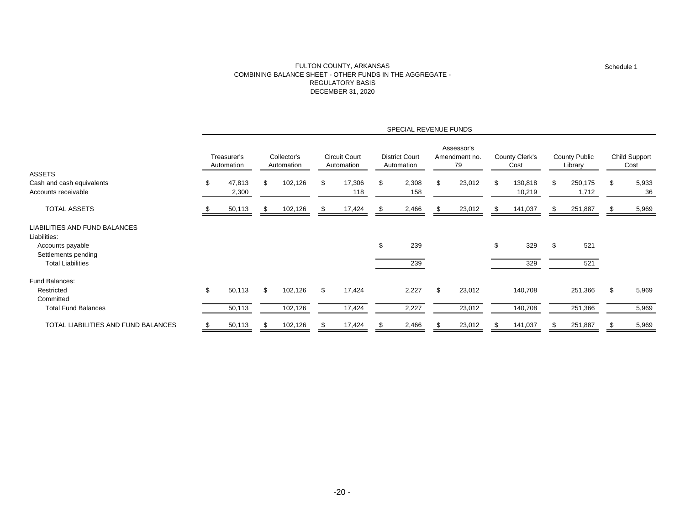|                                                                   |    |                           |    |                           |      |                                    | SPECIAL REVENUE FUNDS               |     |                                   |    |                        |    |                          |     |                              |
|-------------------------------------------------------------------|----|---------------------------|----|---------------------------|------|------------------------------------|-------------------------------------|-----|-----------------------------------|----|------------------------|----|--------------------------|-----|------------------------------|
|                                                                   |    | Treasurer's<br>Automation |    | Collector's<br>Automation |      | <b>Circuit Court</b><br>Automation | <b>District Court</b><br>Automation |     | Assessor's<br>Amendment no.<br>79 |    | County Clerk's<br>Cost |    | County Public<br>Library |     | <b>Child Support</b><br>Cost |
| <b>ASSETS</b><br>Cash and cash equivalents<br>Accounts receivable | \$ | 47,813<br>2,300           | \$ | 102,126                   | -S   | 17,306<br>118                      | \$<br>2,308<br>158                  | \$. | 23,012                            | -S | 130,818<br>10,219      | \$ | 250,175<br>1,712         | S   | 5,933<br>36                  |
| TOTAL ASSETS                                                      |    | 50,113                    | Ж, | 102,126                   | - 35 | 17,424                             | 2,466                               |     | 23,012                            |    | 141,037                | S  | 251,887                  |     | 5,969                        |
| LIABILITIES AND FUND BALANCES<br>Liabilities:                     |    |                           |    |                           |      |                                    |                                     |     |                                   |    |                        |    |                          |     |                              |
| Accounts payable<br>Settlements pending                           |    |                           |    |                           |      |                                    | \$<br>239                           |     |                                   | \$ | 329                    | \$ | 521                      |     |                              |
| <b>Total Liabilities</b>                                          |    |                           |    |                           |      |                                    | 239                                 |     |                                   |    | 329                    |    | 521                      |     |                              |
| Fund Balances:                                                    |    |                           |    |                           |      |                                    |                                     |     |                                   |    |                        |    |                          |     |                              |
| Restricted<br>Committed                                           | \$ | 50,113                    | \$ | 102,126                   | \$.  | 17,424                             | 2,227                               | \$. | 23,012                            |    | 140,708                |    | 251,366                  | \$. | 5,969                        |
| <b>Total Fund Balances</b>                                        |    | 50,113                    |    | 102,126                   |      | 17,424                             | 2,227                               |     | 23,012                            |    | 140,708                |    | 251,366                  |     | 5,969                        |
| TOTAL LIABILITIES AND FUND BALANCES                               | S  | 50,113                    |    | 102,126                   |      | 17,424                             | 2,466                               |     | 23,012                            |    | 141,037                | \$ | 251,887                  |     | 5,969                        |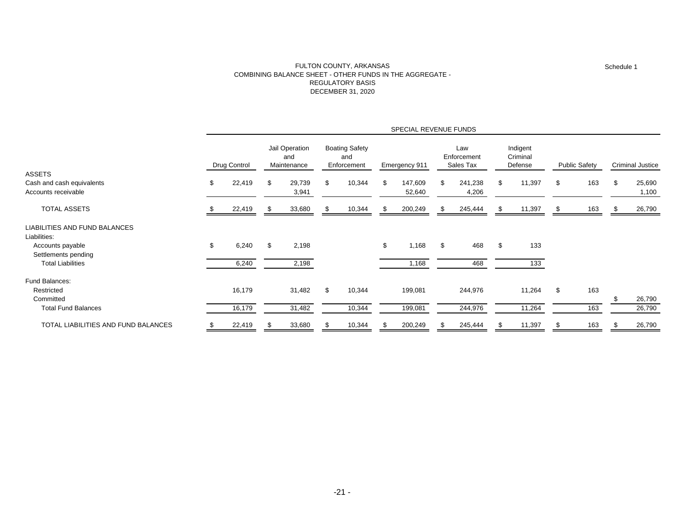|                                                  |    |              |     |                                      |                                             | SPECIAL REVENUE FUNDS   |    |                                 |     |                                 |                      |     |                         |
|--------------------------------------------------|----|--------------|-----|--------------------------------------|---------------------------------------------|-------------------------|----|---------------------------------|-----|---------------------------------|----------------------|-----|-------------------------|
|                                                  |    | Drug Control |     | Jail Operation<br>and<br>Maintenance | <b>Boating Safety</b><br>and<br>Enforcement | Emergency 911           |    | Law<br>Enforcement<br>Sales Tax |     | Indigent<br>Criminal<br>Defense | <b>Public Safety</b> |     | <b>Criminal Justice</b> |
| <b>ASSETS</b>                                    |    |              |     |                                      |                                             |                         |    |                                 |     |                                 |                      |     |                         |
| Cash and cash equivalents<br>Accounts receivable | \$ | 22,419       | \$. | 29,739<br>3,941                      | \$<br>10,344                                | \$<br>147,609<br>52,640 | \$ | 241,238<br>4,206                | \$  | 11,397                          | \$<br>163            | \$  | 25,690<br>1,100         |
| <b>TOTAL ASSETS</b>                              |    | 22,419       |     | 33,680                               | 10,344                                      | 200,249                 | S  | 245,444                         | \$. | 11,397                          | 163                  |     | 26,790                  |
| LIABILITIES AND FUND BALANCES                    |    |              |     |                                      |                                             |                         |    |                                 |     |                                 |                      |     |                         |
| Liabilities:                                     |    |              |     |                                      |                                             |                         |    |                                 |     |                                 |                      |     |                         |
| Accounts payable<br>Settlements pending          | \$ | 6,240        | \$. | 2,198                                |                                             | \$<br>1,168             | \$ | 468                             | \$  | 133                             |                      |     |                         |
| <b>Total Liabilities</b>                         |    | 6,240        |     | 2,198                                |                                             | 1,168                   |    | 468                             |     | 133                             |                      |     |                         |
| Fund Balances:                                   |    |              |     |                                      |                                             |                         |    |                                 |     |                                 |                      |     |                         |
| Restricted                                       |    | 16,179       |     | 31,482                               | \$<br>10,344                                | 199,081                 |    | 244,976                         |     | 11,264                          | \$<br>163            |     |                         |
| Committed                                        |    |              |     |                                      |                                             |                         |    |                                 |     |                                 |                      |     | 26,790                  |
| <b>Total Fund Balances</b>                       |    | 16,179       |     | 31,482                               | 10,344                                      | 199,081                 |    | 244,976                         |     | 11,264                          | 163                  |     | 26,790                  |
| TOTAL LIABILITIES AND FUND BALANCES              |    | 22,419       |     | 33,680                               | 10,344                                      | 200,249                 | \$ | 245,444                         | S.  | 11,397                          | 163                  | \$. | 26,790                  |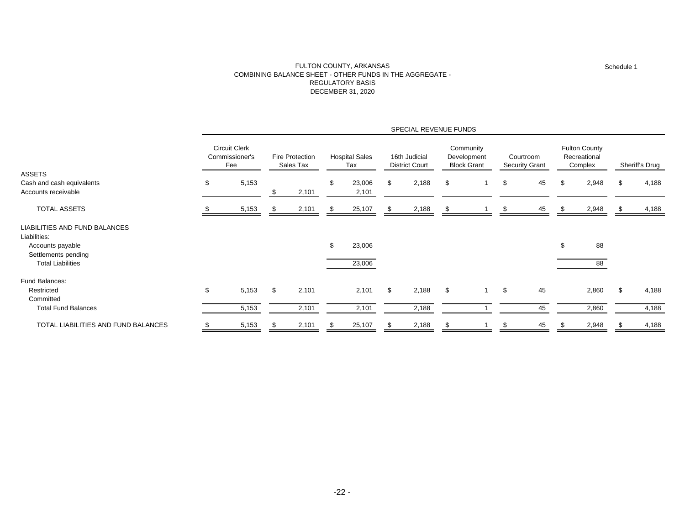|                                                            |                                               |    |                                     |                              | SPECIAL REVENUE FUNDS                  |     |                                                |                                    |    |                                                 |    |                |
|------------------------------------------------------------|-----------------------------------------------|----|-------------------------------------|------------------------------|----------------------------------------|-----|------------------------------------------------|------------------------------------|----|-------------------------------------------------|----|----------------|
|                                                            | <b>Circuit Clerk</b><br>Commissioner's<br>Fee |    | <b>Fire Protection</b><br>Sales Tax | <b>Hospital Sales</b><br>Tax | 16th Judicial<br><b>District Court</b> |     | Community<br>Development<br><b>Block Grant</b> | Courtroom<br><b>Security Grant</b> |    | <b>Fulton County</b><br>Recreational<br>Complex |    | Sheriff's Drug |
| ASSETS<br>Cash and cash equivalents<br>Accounts receivable | \$<br>5,153                                   | S  | 2,101                               | \$<br>23,006<br>2,101        | \$<br>2,188                            | \$  |                                                | \$<br>45                           | \$ | 2,948                                           | \$ | 4,188          |
| <b>TOTAL ASSETS</b>                                        | 5,153                                         | S  | 2,101                               | 25,107                       | 2,188                                  | \$. |                                                | \$<br>45                           | S  | 2,948                                           |    | 4,188          |
| LIABILITIES AND FUND BALANCES<br>Liabilities:              |                                               |    |                                     |                              |                                        |     |                                                |                                    |    |                                                 |    |                |
| Accounts payable<br>Settlements pending                    |                                               |    |                                     | \$<br>23,006                 |                                        |     |                                                |                                    | \$ | 88                                              |    |                |
| <b>Total Liabilities</b>                                   |                                               |    |                                     | 23,006                       |                                        |     |                                                |                                    |    | 88                                              |    |                |
| Fund Balances:                                             |                                               |    |                                     |                              |                                        |     |                                                |                                    |    |                                                 |    |                |
| Restricted<br>Committed                                    | \$<br>5,153                                   | \$ | 2,101                               | 2,101                        | \$<br>2,188                            | -\$ |                                                | \$<br>45                           |    | 2,860                                           | -S | 4,188          |
| <b>Total Fund Balances</b>                                 | 5,153                                         |    | 2,101                               | 2,101                        | 2,188                                  |     |                                                | 45                                 |    | 2,860                                           |    | 4,188          |
| TOTAL LIABILITIES AND FUND BALANCES                        | 5,153                                         |    | 2,101                               | 25,107                       | 2,188                                  |     |                                                | 45                                 |    | 2,948                                           |    | 4,188          |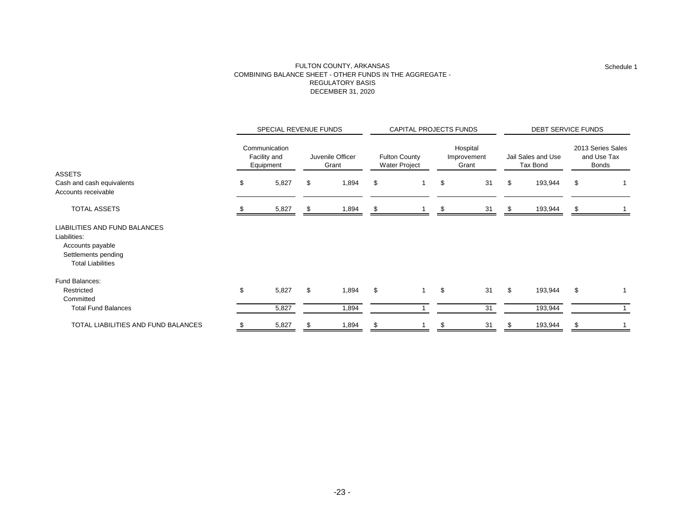|                                                                                                                      | SPECIAL REVENUE FUNDS                      |                           |     | CAPITAL PROJECTS FUNDS                       |    |                                  |    | DEBT SERVICE FUNDS             |                                                  |
|----------------------------------------------------------------------------------------------------------------------|--------------------------------------------|---------------------------|-----|----------------------------------------------|----|----------------------------------|----|--------------------------------|--------------------------------------------------|
|                                                                                                                      | Communication<br>Facility and<br>Equipment | Juvenile Officer<br>Grant |     | <b>Fulton County</b><br><b>Water Project</b> |    | Hospital<br>Improvement<br>Grant |    | Jail Sales and Use<br>Tax Bond | 2013 Series Sales<br>and Use Tax<br><b>Bonds</b> |
| <b>ASSETS</b>                                                                                                        |                                            |                           |     |                                              |    |                                  |    |                                |                                                  |
| Cash and cash equivalents<br>Accounts receivable                                                                     | \$<br>5,827                                | \$<br>1,894               | \$  |                                              | \$ | 31                               | \$ | 193,944                        | \$                                               |
| <b>TOTAL ASSETS</b>                                                                                                  | 5,827                                      | 1,894                     | \$. |                                              | S  | 31                               | S. | 193,944                        | \$                                               |
| LIABILITIES AND FUND BALANCES<br>Liabilities:<br>Accounts payable<br>Settlements pending<br><b>Total Liabilities</b> |                                            |                           |     |                                              |    |                                  |    |                                |                                                  |
| Fund Balances:                                                                                                       |                                            |                           |     |                                              |    |                                  |    |                                |                                                  |
| Restricted<br>Committed                                                                                              | \$<br>5,827                                | \$<br>1,894               | \$  | $\overline{1}$                               | \$ | 31                               | \$ | 193,944                        | \$                                               |
| <b>Total Fund Balances</b>                                                                                           | 5,827                                      | 1,894                     |     |                                              |    | 31                               |    | 193,944                        |                                                  |
| TOTAL LIABILITIES AND FUND BALANCES                                                                                  | \$<br>5,827                                | 1,894                     | \$. |                                              | \$ | 31                               |    | 193,944                        | \$                                               |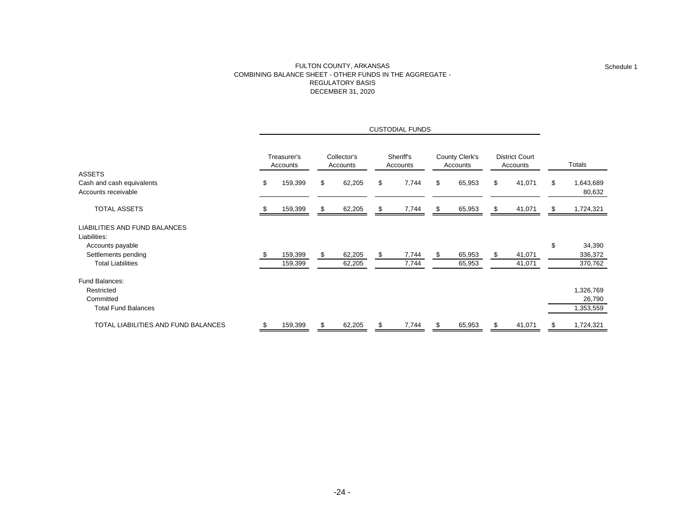|                                                  |    |                         |                         |     | <b>CUSTODIAL FUNDS</b> |    |                            |     |                                   |     |                     |
|--------------------------------------------------|----|-------------------------|-------------------------|-----|------------------------|----|----------------------------|-----|-----------------------------------|-----|---------------------|
|                                                  |    | Treasurer's<br>Accounts | Collector's<br>Accounts |     | Sheriff's<br>Accounts  |    | County Clerk's<br>Accounts |     | <b>District Court</b><br>Accounts |     | <b>Totals</b>       |
| <b>ASSETS</b>                                    | \$ |                         |                         |     |                        |    |                            |     |                                   |     |                     |
| Cash and cash equivalents<br>Accounts receivable |    | 159,399                 | \$<br>62,205            | \$  | 7,744                  | \$ | 65,953                     | \$  | 41,071                            | \$. | 1,643,689<br>80,632 |
| <b>TOTAL ASSETS</b>                              |    | 159,399                 | \$<br>62,205            | S   | 7,744                  | S. | 65,953                     | S.  | 41,071                            | Ж,  | 1,724,321           |
| LIABILITIES AND FUND BALANCES                    |    |                         |                         |     |                        |    |                            |     |                                   |     |                     |
| Liabilities:                                     |    |                         |                         |     |                        |    |                            |     |                                   |     |                     |
| Accounts payable                                 |    |                         |                         |     |                        |    |                            |     |                                   | \$  | 34,390              |
| Settlements pending                              |    | 159,399                 | \$<br>62,205            | \$. | 7,744                  | \$ | 65,953                     | \$. | 41,071                            |     | 336,372             |
| <b>Total Liabilities</b>                         |    | 159,399                 | 62,205                  |     | 7,744                  |    | 65,953                     |     | 41,071                            |     | 370,762             |
| Fund Balances:                                   |    |                         |                         |     |                        |    |                            |     |                                   |     |                     |
| Restricted                                       |    |                         |                         |     |                        |    |                            |     |                                   |     | 1,326,769           |
| Committed                                        |    |                         |                         |     |                        |    |                            |     |                                   |     | 26,790              |
| <b>Total Fund Balances</b>                       |    |                         |                         |     |                        |    |                            |     |                                   |     | 1,353,559           |
| TOTAL LIABILITIES AND FUND BALANCES              |    | 159,399                 | \$<br>62,205            |     | 7,744                  |    | 65,953                     | æ.  | 41,071                            |     | 1,724,321           |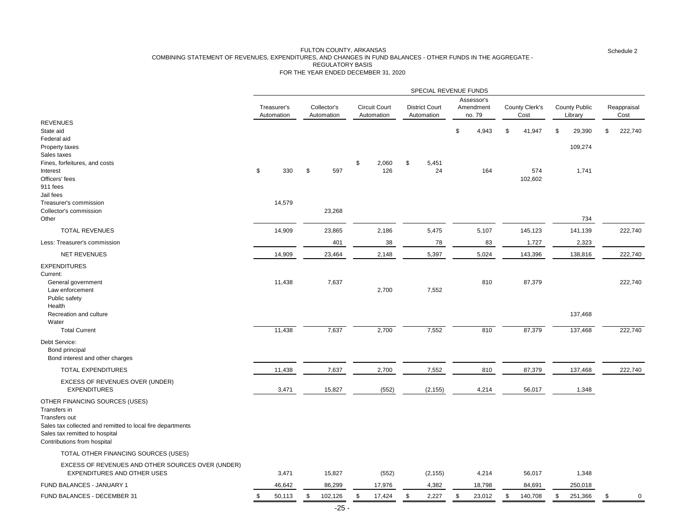| Assessor's<br><b>Circuit Court</b><br>County Clerk's<br><b>County Public</b><br>Treasurer's<br>Collector's<br><b>District Court</b><br>Amendment<br>Reappraisal<br>Automation<br>Automation<br>Automation<br>Automation<br>no. 79<br>Cost<br>Cost<br>Library<br>State aid<br>\$<br>4,943<br>41,947<br>29,390<br>222,740<br>\$<br>\$<br>\$<br>Federal aid<br>109,274<br>Property taxes<br>Sales taxes<br>\$<br>2,060<br>\$<br>5,451<br>Fines, forfeitures, and costs<br>\$<br>330<br>\$<br>24<br>164<br>574<br>597<br>126<br>1,741<br>Interest<br>Officers' fees<br>102,602<br>911 fees<br>14,579<br>23,268<br>734<br><b>TOTAL REVENUES</b><br>14,909<br>5,475<br>5,107<br>145,123<br>141,139<br>222,740<br>23,865<br>2,186<br>401<br>38<br>78<br>83<br>1,727<br>2,323<br>Less: Treasurer's commission<br><b>NET REVENUES</b><br>14,909<br>5,024<br>23,464<br>2,148<br>5,397<br>143,396<br>138,816<br>222,740<br><b>EXPENDITURES</b><br>7,637<br>810<br>General government<br>11,438<br>87,379<br>222,740<br>Law enforcement<br>2,700<br>7,552<br>Public safety<br>Health<br>137,468<br>Recreation and culture<br>Water<br>7,637<br>11,438<br>2,700<br>7,552<br>810<br>87,379<br>137,468<br>222,740<br><b>Total Current</b><br>Bond principal<br>Bond interest and other charges<br>810<br>TOTAL EXPENDITURES<br>11,438<br>7,637<br>2,700<br>7,552<br>87,379<br>137,468<br>222,740<br>EXCESS OF REVENUES OVER (UNDER)<br><b>EXPENDITURES</b><br>3,471<br>15,827<br>(552)<br>(2, 155)<br>4,214<br>56,017<br>1,348<br>OTHER FINANCING SOURCES (USES)<br>Contributions from hospital<br>TOTAL OTHER FINANCING SOURCES (USES)<br>EXCESS OF REVENUES AND OTHER SOURCES OVER (UNDER)<br>EXPENDITURES AND OTHER USES<br>3,471<br>15,827<br>56,017<br>1,348<br>(552)<br>(2, 155)<br>4,214<br>46,642<br>86,299<br>17,976<br>4,382<br>18,798<br>84,691<br>250,018<br>\$<br>\$<br>\$.<br>50,113<br>\$<br>102,126<br>\$<br>17,424<br>2,227<br>23,012<br>\$<br>140,708<br>\$<br>251,366<br>0<br>- 35 |                                                            | SPECIAL REVENUE FUNDS |  |  |  |  |  |  |  |  |  |  |  |  |  |
|----------------------------------------------------------------------------------------------------------------------------------------------------------------------------------------------------------------------------------------------------------------------------------------------------------------------------------------------------------------------------------------------------------------------------------------------------------------------------------------------------------------------------------------------------------------------------------------------------------------------------------------------------------------------------------------------------------------------------------------------------------------------------------------------------------------------------------------------------------------------------------------------------------------------------------------------------------------------------------------------------------------------------------------------------------------------------------------------------------------------------------------------------------------------------------------------------------------------------------------------------------------------------------------------------------------------------------------------------------------------------------------------------------------------------------------------------------------------------------------------------------------------------------------------------------------------------------------------------------------------------------------------------------------------------------------------------------------------------------------------------------------------------------------------------------------------------------------------------------------------------------------------------------------------------------------------------------------------------------------|------------------------------------------------------------|-----------------------|--|--|--|--|--|--|--|--|--|--|--|--|--|
|                                                                                                                                                                                                                                                                                                                                                                                                                                                                                                                                                                                                                                                                                                                                                                                                                                                                                                                                                                                                                                                                                                                                                                                                                                                                                                                                                                                                                                                                                                                                                                                                                                                                                                                                                                                                                                                                                                                                                                                        |                                                            |                       |  |  |  |  |  |  |  |  |  |  |  |  |  |
|                                                                                                                                                                                                                                                                                                                                                                                                                                                                                                                                                                                                                                                                                                                                                                                                                                                                                                                                                                                                                                                                                                                                                                                                                                                                                                                                                                                                                                                                                                                                                                                                                                                                                                                                                                                                                                                                                                                                                                                        | <b>REVENUES</b>                                            |                       |  |  |  |  |  |  |  |  |  |  |  |  |  |
|                                                                                                                                                                                                                                                                                                                                                                                                                                                                                                                                                                                                                                                                                                                                                                                                                                                                                                                                                                                                                                                                                                                                                                                                                                                                                                                                                                                                                                                                                                                                                                                                                                                                                                                                                                                                                                                                                                                                                                                        |                                                            |                       |  |  |  |  |  |  |  |  |  |  |  |  |  |
|                                                                                                                                                                                                                                                                                                                                                                                                                                                                                                                                                                                                                                                                                                                                                                                                                                                                                                                                                                                                                                                                                                                                                                                                                                                                                                                                                                                                                                                                                                                                                                                                                                                                                                                                                                                                                                                                                                                                                                                        |                                                            |                       |  |  |  |  |  |  |  |  |  |  |  |  |  |
|                                                                                                                                                                                                                                                                                                                                                                                                                                                                                                                                                                                                                                                                                                                                                                                                                                                                                                                                                                                                                                                                                                                                                                                                                                                                                                                                                                                                                                                                                                                                                                                                                                                                                                                                                                                                                                                                                                                                                                                        |                                                            |                       |  |  |  |  |  |  |  |  |  |  |  |  |  |
|                                                                                                                                                                                                                                                                                                                                                                                                                                                                                                                                                                                                                                                                                                                                                                                                                                                                                                                                                                                                                                                                                                                                                                                                                                                                                                                                                                                                                                                                                                                                                                                                                                                                                                                                                                                                                                                                                                                                                                                        |                                                            |                       |  |  |  |  |  |  |  |  |  |  |  |  |  |
|                                                                                                                                                                                                                                                                                                                                                                                                                                                                                                                                                                                                                                                                                                                                                                                                                                                                                                                                                                                                                                                                                                                                                                                                                                                                                                                                                                                                                                                                                                                                                                                                                                                                                                                                                                                                                                                                                                                                                                                        |                                                            |                       |  |  |  |  |  |  |  |  |  |  |  |  |  |
|                                                                                                                                                                                                                                                                                                                                                                                                                                                                                                                                                                                                                                                                                                                                                                                                                                                                                                                                                                                                                                                                                                                                                                                                                                                                                                                                                                                                                                                                                                                                                                                                                                                                                                                                                                                                                                                                                                                                                                                        |                                                            |                       |  |  |  |  |  |  |  |  |  |  |  |  |  |
|                                                                                                                                                                                                                                                                                                                                                                                                                                                                                                                                                                                                                                                                                                                                                                                                                                                                                                                                                                                                                                                                                                                                                                                                                                                                                                                                                                                                                                                                                                                                                                                                                                                                                                                                                                                                                                                                                                                                                                                        |                                                            |                       |  |  |  |  |  |  |  |  |  |  |  |  |  |
|                                                                                                                                                                                                                                                                                                                                                                                                                                                                                                                                                                                                                                                                                                                                                                                                                                                                                                                                                                                                                                                                                                                                                                                                                                                                                                                                                                                                                                                                                                                                                                                                                                                                                                                                                                                                                                                                                                                                                                                        | Jail fees                                                  |                       |  |  |  |  |  |  |  |  |  |  |  |  |  |
|                                                                                                                                                                                                                                                                                                                                                                                                                                                                                                                                                                                                                                                                                                                                                                                                                                                                                                                                                                                                                                                                                                                                                                                                                                                                                                                                                                                                                                                                                                                                                                                                                                                                                                                                                                                                                                                                                                                                                                                        | Treasurer's commission                                     |                       |  |  |  |  |  |  |  |  |  |  |  |  |  |
|                                                                                                                                                                                                                                                                                                                                                                                                                                                                                                                                                                                                                                                                                                                                                                                                                                                                                                                                                                                                                                                                                                                                                                                                                                                                                                                                                                                                                                                                                                                                                                                                                                                                                                                                                                                                                                                                                                                                                                                        | Collector's commission                                     |                       |  |  |  |  |  |  |  |  |  |  |  |  |  |
|                                                                                                                                                                                                                                                                                                                                                                                                                                                                                                                                                                                                                                                                                                                                                                                                                                                                                                                                                                                                                                                                                                                                                                                                                                                                                                                                                                                                                                                                                                                                                                                                                                                                                                                                                                                                                                                                                                                                                                                        | Other                                                      |                       |  |  |  |  |  |  |  |  |  |  |  |  |  |
|                                                                                                                                                                                                                                                                                                                                                                                                                                                                                                                                                                                                                                                                                                                                                                                                                                                                                                                                                                                                                                                                                                                                                                                                                                                                                                                                                                                                                                                                                                                                                                                                                                                                                                                                                                                                                                                                                                                                                                                        |                                                            |                       |  |  |  |  |  |  |  |  |  |  |  |  |  |
|                                                                                                                                                                                                                                                                                                                                                                                                                                                                                                                                                                                                                                                                                                                                                                                                                                                                                                                                                                                                                                                                                                                                                                                                                                                                                                                                                                                                                                                                                                                                                                                                                                                                                                                                                                                                                                                                                                                                                                                        |                                                            |                       |  |  |  |  |  |  |  |  |  |  |  |  |  |
|                                                                                                                                                                                                                                                                                                                                                                                                                                                                                                                                                                                                                                                                                                                                                                                                                                                                                                                                                                                                                                                                                                                                                                                                                                                                                                                                                                                                                                                                                                                                                                                                                                                                                                                                                                                                                                                                                                                                                                                        |                                                            |                       |  |  |  |  |  |  |  |  |  |  |  |  |  |
|                                                                                                                                                                                                                                                                                                                                                                                                                                                                                                                                                                                                                                                                                                                                                                                                                                                                                                                                                                                                                                                                                                                                                                                                                                                                                                                                                                                                                                                                                                                                                                                                                                                                                                                                                                                                                                                                                                                                                                                        |                                                            |                       |  |  |  |  |  |  |  |  |  |  |  |  |  |
|                                                                                                                                                                                                                                                                                                                                                                                                                                                                                                                                                                                                                                                                                                                                                                                                                                                                                                                                                                                                                                                                                                                                                                                                                                                                                                                                                                                                                                                                                                                                                                                                                                                                                                                                                                                                                                                                                                                                                                                        | Current:                                                   |                       |  |  |  |  |  |  |  |  |  |  |  |  |  |
|                                                                                                                                                                                                                                                                                                                                                                                                                                                                                                                                                                                                                                                                                                                                                                                                                                                                                                                                                                                                                                                                                                                                                                                                                                                                                                                                                                                                                                                                                                                                                                                                                                                                                                                                                                                                                                                                                                                                                                                        |                                                            |                       |  |  |  |  |  |  |  |  |  |  |  |  |  |
|                                                                                                                                                                                                                                                                                                                                                                                                                                                                                                                                                                                                                                                                                                                                                                                                                                                                                                                                                                                                                                                                                                                                                                                                                                                                                                                                                                                                                                                                                                                                                                                                                                                                                                                                                                                                                                                                                                                                                                                        |                                                            |                       |  |  |  |  |  |  |  |  |  |  |  |  |  |
|                                                                                                                                                                                                                                                                                                                                                                                                                                                                                                                                                                                                                                                                                                                                                                                                                                                                                                                                                                                                                                                                                                                                                                                                                                                                                                                                                                                                                                                                                                                                                                                                                                                                                                                                                                                                                                                                                                                                                                                        |                                                            |                       |  |  |  |  |  |  |  |  |  |  |  |  |  |
|                                                                                                                                                                                                                                                                                                                                                                                                                                                                                                                                                                                                                                                                                                                                                                                                                                                                                                                                                                                                                                                                                                                                                                                                                                                                                                                                                                                                                                                                                                                                                                                                                                                                                                                                                                                                                                                                                                                                                                                        |                                                            |                       |  |  |  |  |  |  |  |  |  |  |  |  |  |
|                                                                                                                                                                                                                                                                                                                                                                                                                                                                                                                                                                                                                                                                                                                                                                                                                                                                                                                                                                                                                                                                                                                                                                                                                                                                                                                                                                                                                                                                                                                                                                                                                                                                                                                                                                                                                                                                                                                                                                                        |                                                            |                       |  |  |  |  |  |  |  |  |  |  |  |  |  |
|                                                                                                                                                                                                                                                                                                                                                                                                                                                                                                                                                                                                                                                                                                                                                                                                                                                                                                                                                                                                                                                                                                                                                                                                                                                                                                                                                                                                                                                                                                                                                                                                                                                                                                                                                                                                                                                                                                                                                                                        |                                                            |                       |  |  |  |  |  |  |  |  |  |  |  |  |  |
|                                                                                                                                                                                                                                                                                                                                                                                                                                                                                                                                                                                                                                                                                                                                                                                                                                                                                                                                                                                                                                                                                                                                                                                                                                                                                                                                                                                                                                                                                                                                                                                                                                                                                                                                                                                                                                                                                                                                                                                        |                                                            |                       |  |  |  |  |  |  |  |  |  |  |  |  |  |
|                                                                                                                                                                                                                                                                                                                                                                                                                                                                                                                                                                                                                                                                                                                                                                                                                                                                                                                                                                                                                                                                                                                                                                                                                                                                                                                                                                                                                                                                                                                                                                                                                                                                                                                                                                                                                                                                                                                                                                                        | Debt Service:                                              |                       |  |  |  |  |  |  |  |  |  |  |  |  |  |
|                                                                                                                                                                                                                                                                                                                                                                                                                                                                                                                                                                                                                                                                                                                                                                                                                                                                                                                                                                                                                                                                                                                                                                                                                                                                                                                                                                                                                                                                                                                                                                                                                                                                                                                                                                                                                                                                                                                                                                                        |                                                            |                       |  |  |  |  |  |  |  |  |  |  |  |  |  |
|                                                                                                                                                                                                                                                                                                                                                                                                                                                                                                                                                                                                                                                                                                                                                                                                                                                                                                                                                                                                                                                                                                                                                                                                                                                                                                                                                                                                                                                                                                                                                                                                                                                                                                                                                                                                                                                                                                                                                                                        |                                                            |                       |  |  |  |  |  |  |  |  |  |  |  |  |  |
|                                                                                                                                                                                                                                                                                                                                                                                                                                                                                                                                                                                                                                                                                                                                                                                                                                                                                                                                                                                                                                                                                                                                                                                                                                                                                                                                                                                                                                                                                                                                                                                                                                                                                                                                                                                                                                                                                                                                                                                        |                                                            |                       |  |  |  |  |  |  |  |  |  |  |  |  |  |
|                                                                                                                                                                                                                                                                                                                                                                                                                                                                                                                                                                                                                                                                                                                                                                                                                                                                                                                                                                                                                                                                                                                                                                                                                                                                                                                                                                                                                                                                                                                                                                                                                                                                                                                                                                                                                                                                                                                                                                                        |                                                            |                       |  |  |  |  |  |  |  |  |  |  |  |  |  |
|                                                                                                                                                                                                                                                                                                                                                                                                                                                                                                                                                                                                                                                                                                                                                                                                                                                                                                                                                                                                                                                                                                                                                                                                                                                                                                                                                                                                                                                                                                                                                                                                                                                                                                                                                                                                                                                                                                                                                                                        |                                                            |                       |  |  |  |  |  |  |  |  |  |  |  |  |  |
|                                                                                                                                                                                                                                                                                                                                                                                                                                                                                                                                                                                                                                                                                                                                                                                                                                                                                                                                                                                                                                                                                                                                                                                                                                                                                                                                                                                                                                                                                                                                                                                                                                                                                                                                                                                                                                                                                                                                                                                        |                                                            |                       |  |  |  |  |  |  |  |  |  |  |  |  |  |
|                                                                                                                                                                                                                                                                                                                                                                                                                                                                                                                                                                                                                                                                                                                                                                                                                                                                                                                                                                                                                                                                                                                                                                                                                                                                                                                                                                                                                                                                                                                                                                                                                                                                                                                                                                                                                                                                                                                                                                                        | Transfers in                                               |                       |  |  |  |  |  |  |  |  |  |  |  |  |  |
|                                                                                                                                                                                                                                                                                                                                                                                                                                                                                                                                                                                                                                                                                                                                                                                                                                                                                                                                                                                                                                                                                                                                                                                                                                                                                                                                                                                                                                                                                                                                                                                                                                                                                                                                                                                                                                                                                                                                                                                        | Transfers out                                              |                       |  |  |  |  |  |  |  |  |  |  |  |  |  |
|                                                                                                                                                                                                                                                                                                                                                                                                                                                                                                                                                                                                                                                                                                                                                                                                                                                                                                                                                                                                                                                                                                                                                                                                                                                                                                                                                                                                                                                                                                                                                                                                                                                                                                                                                                                                                                                                                                                                                                                        | Sales tax collected and remitted to local fire departments |                       |  |  |  |  |  |  |  |  |  |  |  |  |  |
|                                                                                                                                                                                                                                                                                                                                                                                                                                                                                                                                                                                                                                                                                                                                                                                                                                                                                                                                                                                                                                                                                                                                                                                                                                                                                                                                                                                                                                                                                                                                                                                                                                                                                                                                                                                                                                                                                                                                                                                        | Sales tax remitted to hospital                             |                       |  |  |  |  |  |  |  |  |  |  |  |  |  |
|                                                                                                                                                                                                                                                                                                                                                                                                                                                                                                                                                                                                                                                                                                                                                                                                                                                                                                                                                                                                                                                                                                                                                                                                                                                                                                                                                                                                                                                                                                                                                                                                                                                                                                                                                                                                                                                                                                                                                                                        |                                                            |                       |  |  |  |  |  |  |  |  |  |  |  |  |  |
|                                                                                                                                                                                                                                                                                                                                                                                                                                                                                                                                                                                                                                                                                                                                                                                                                                                                                                                                                                                                                                                                                                                                                                                                                                                                                                                                                                                                                                                                                                                                                                                                                                                                                                                                                                                                                                                                                                                                                                                        |                                                            |                       |  |  |  |  |  |  |  |  |  |  |  |  |  |
|                                                                                                                                                                                                                                                                                                                                                                                                                                                                                                                                                                                                                                                                                                                                                                                                                                                                                                                                                                                                                                                                                                                                                                                                                                                                                                                                                                                                                                                                                                                                                                                                                                                                                                                                                                                                                                                                                                                                                                                        |                                                            |                       |  |  |  |  |  |  |  |  |  |  |  |  |  |
|                                                                                                                                                                                                                                                                                                                                                                                                                                                                                                                                                                                                                                                                                                                                                                                                                                                                                                                                                                                                                                                                                                                                                                                                                                                                                                                                                                                                                                                                                                                                                                                                                                                                                                                                                                                                                                                                                                                                                                                        |                                                            |                       |  |  |  |  |  |  |  |  |  |  |  |  |  |
|                                                                                                                                                                                                                                                                                                                                                                                                                                                                                                                                                                                                                                                                                                                                                                                                                                                                                                                                                                                                                                                                                                                                                                                                                                                                                                                                                                                                                                                                                                                                                                                                                                                                                                                                                                                                                                                                                                                                                                                        | FUND BALANCES - JANUARY 1                                  |                       |  |  |  |  |  |  |  |  |  |  |  |  |  |
|                                                                                                                                                                                                                                                                                                                                                                                                                                                                                                                                                                                                                                                                                                                                                                                                                                                                                                                                                                                                                                                                                                                                                                                                                                                                                                                                                                                                                                                                                                                                                                                                                                                                                                                                                                                                                                                                                                                                                                                        | FUND BALANCES - DECEMBER 31                                |                       |  |  |  |  |  |  |  |  |  |  |  |  |  |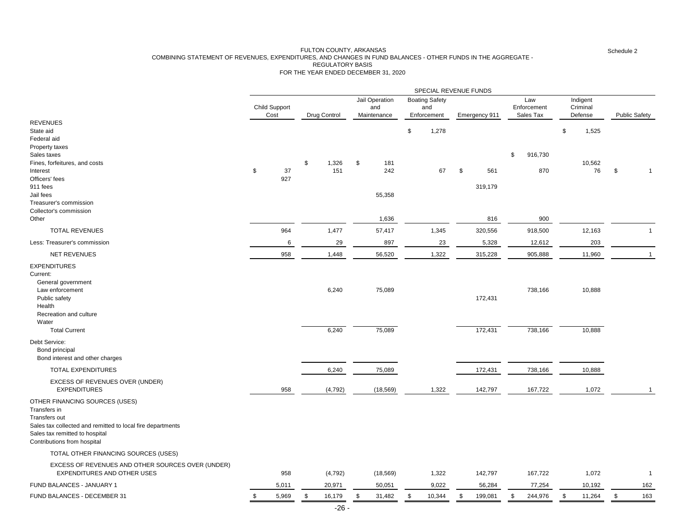|                                                                                                                                                                                                | SPECIAL REVENUE FUNDS |                       |    |              |    |                                      |    |                                             |    |               |    |                                 |                                 |                      |
|------------------------------------------------------------------------------------------------------------------------------------------------------------------------------------------------|-----------------------|-----------------------|----|--------------|----|--------------------------------------|----|---------------------------------------------|----|---------------|----|---------------------------------|---------------------------------|----------------------|
|                                                                                                                                                                                                |                       | Child Support<br>Cost |    | Drug Control |    | Jail Operation<br>and<br>Maintenance |    | <b>Boating Safety</b><br>and<br>Enforcement |    | Emergency 911 |    | Law<br>Enforcement<br>Sales Tax | Indigent<br>Criminal<br>Defense | <b>Public Safety</b> |
| <b>REVENUES</b>                                                                                                                                                                                |                       |                       |    |              |    |                                      |    |                                             |    |               |    |                                 |                                 |                      |
| State aid                                                                                                                                                                                      |                       |                       |    |              |    |                                      | \$ | 1,278                                       |    |               |    |                                 | \$<br>1,525                     |                      |
| Federal aid                                                                                                                                                                                    |                       |                       |    |              |    |                                      |    |                                             |    |               |    |                                 |                                 |                      |
| Property taxes                                                                                                                                                                                 |                       |                       |    |              |    |                                      |    |                                             |    |               |    |                                 |                                 |                      |
| Sales taxes                                                                                                                                                                                    |                       |                       |    |              |    |                                      |    |                                             |    |               | \$ | 916,730                         |                                 |                      |
| Fines, forfeitures, and costs                                                                                                                                                                  |                       |                       | \$ | 1,326        | \$ | 181                                  |    |                                             |    |               |    |                                 | 10,562<br>76                    | 1                    |
| Interest<br>Officers' fees                                                                                                                                                                     | \$                    | 37<br>927             |    | 151          |    | 242                                  |    | 67                                          | \$ | 561           |    | 870                             |                                 | \$                   |
| 911 fees                                                                                                                                                                                       |                       |                       |    |              |    |                                      |    |                                             |    | 319,179       |    |                                 |                                 |                      |
| Jail fees                                                                                                                                                                                      |                       |                       |    |              |    | 55,358                               |    |                                             |    |               |    |                                 |                                 |                      |
| Treasurer's commission                                                                                                                                                                         |                       |                       |    |              |    |                                      |    |                                             |    |               |    |                                 |                                 |                      |
| Collector's commission                                                                                                                                                                         |                       |                       |    |              |    |                                      |    |                                             |    |               |    |                                 |                                 |                      |
| Other                                                                                                                                                                                          |                       |                       |    |              |    | 1,636                                |    |                                             |    | 816           |    | 900                             |                                 |                      |
| <b>TOTAL REVENUES</b>                                                                                                                                                                          |                       | 964                   |    | 1,477        |    | 57,417                               |    | 1,345                                       |    | 320,556       |    | 918,500                         | 12,163                          | $\mathbf{1}$         |
| Less: Treasurer's commission                                                                                                                                                                   |                       | 6                     |    | 29           |    | 897                                  |    | 23                                          |    | 5,328         |    | 12,612                          | 203                             |                      |
| <b>NET REVENUES</b>                                                                                                                                                                            |                       | 958                   |    | 1,448        |    | 56,520                               |    | 1,322                                       |    | 315,228       |    | 905,888                         | 11,960                          | $\mathbf{1}$         |
| <b>EXPENDITURES</b><br>Current:<br>General government<br>Law enforcement<br>Public safety                                                                                                      |                       |                       |    | 6,240        |    | 75,089                               |    |                                             |    | 172,431       |    | 738,166                         | 10,888                          |                      |
| Health<br>Recreation and culture<br>Water<br><b>Total Current</b>                                                                                                                              |                       |                       |    | 6,240        |    | 75,089                               |    |                                             |    | 172,431       |    | 738,166                         | 10,888                          |                      |
| Debt Service:<br>Bond principal<br>Bond interest and other charges                                                                                                                             |                       |                       |    |              |    |                                      |    |                                             |    |               |    |                                 |                                 |                      |
| <b>TOTAL EXPENDITURES</b>                                                                                                                                                                      |                       |                       |    | 6,240        |    | 75,089                               |    |                                             |    | 172,431       |    | 738,166                         | 10,888                          |                      |
| EXCESS OF REVENUES OVER (UNDER)<br><b>EXPENDITURES</b>                                                                                                                                         |                       | 958                   |    | (4, 792)     |    | (18, 569)                            |    | 1,322                                       |    | 142,797       |    | 167,722                         | 1,072                           | $\mathbf{1}$         |
| OTHER FINANCING SOURCES (USES)<br>Transfers in<br>Transfers out<br>Sales tax collected and remitted to local fire departments<br>Sales tax remitted to hospital<br>Contributions from hospital |                       |                       |    |              |    |                                      |    |                                             |    |               |    |                                 |                                 |                      |
| TOTAL OTHER FINANCING SOURCES (USES)                                                                                                                                                           |                       |                       |    |              |    |                                      |    |                                             |    |               |    |                                 |                                 |                      |
| EXCESS OF REVENUES AND OTHER SOURCES OVER (UNDER)<br>EXPENDITURES AND OTHER USES                                                                                                               |                       | 958                   |    | (4, 792)     |    | (18, 569)                            |    | 1,322                                       |    | 142,797       |    | 167,722                         | 1,072                           | $\overline{1}$       |
| FUND BALANCES - JANUARY 1                                                                                                                                                                      |                       | 5,011                 |    | 20,971       |    | 50,051                               |    | 9,022                                       |    | 56,284        |    | 77,254                          | 10,192                          | 162                  |
| FUND BALANCES - DECEMBER 31                                                                                                                                                                    | \$                    | 5,969                 | \$ | 16,179       | \$ | 31,482                               | \$ | 10,344                                      | \$ | 199,081       | \$ | 244,976                         | \$<br>11,264                    | \$<br>163            |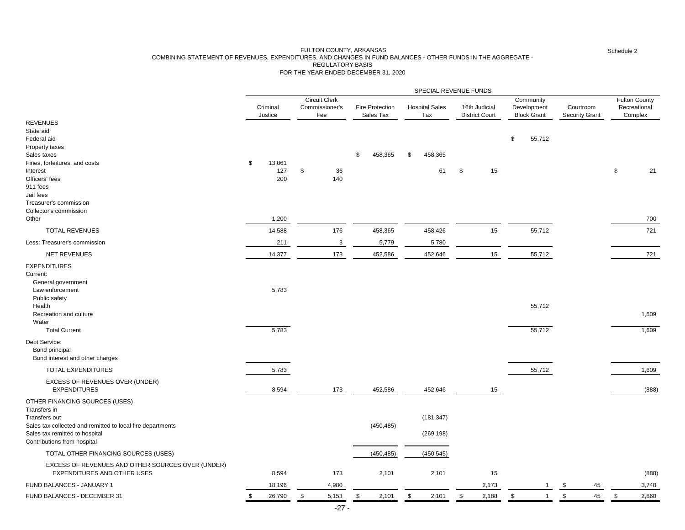|                                                                                           |    |                     |                                               |                                     | SPECIAL REVENUE FUNDS        |                                        |                                                |                                    |    |                                                 |
|-------------------------------------------------------------------------------------------|----|---------------------|-----------------------------------------------|-------------------------------------|------------------------------|----------------------------------------|------------------------------------------------|------------------------------------|----|-------------------------------------------------|
|                                                                                           |    | Criminal<br>Justice | <b>Circuit Clerk</b><br>Commissioner's<br>Fee | <b>Fire Protection</b><br>Sales Tax | <b>Hospital Sales</b><br>Tax | 16th Judicial<br><b>District Court</b> | Community<br>Development<br><b>Block Grant</b> | Courtroom<br><b>Security Grant</b> |    | <b>Fulton County</b><br>Recreational<br>Complex |
| <b>REVENUES</b>                                                                           |    |                     |                                               |                                     |                              |                                        |                                                |                                    |    |                                                 |
| State aid<br>Federal aid                                                                  |    |                     |                                               |                                     |                              |                                        | \$<br>55,712                                   |                                    |    |                                                 |
| Property taxes                                                                            |    |                     |                                               |                                     |                              |                                        |                                                |                                    |    |                                                 |
| Sales taxes                                                                               |    |                     |                                               | \$<br>458,365                       | \$<br>458,365                |                                        |                                                |                                    |    |                                                 |
| Fines, forfeitures, and costs                                                             | \$ | 13,061              |                                               |                                     |                              |                                        |                                                |                                    |    |                                                 |
| Interest                                                                                  |    | 127                 | \$<br>36                                      |                                     | 61                           | \$<br>15                               |                                                |                                    |    | \$<br>21                                        |
| Officers' fees                                                                            |    | 200                 | 140                                           |                                     |                              |                                        |                                                |                                    |    |                                                 |
| 911 fees                                                                                  |    |                     |                                               |                                     |                              |                                        |                                                |                                    |    |                                                 |
| Jail fees                                                                                 |    |                     |                                               |                                     |                              |                                        |                                                |                                    |    |                                                 |
| Treasurer's commission                                                                    |    |                     |                                               |                                     |                              |                                        |                                                |                                    |    |                                                 |
| Collector's commission                                                                    |    |                     |                                               |                                     |                              |                                        |                                                |                                    |    |                                                 |
| Other                                                                                     |    | 1,200               |                                               |                                     |                              |                                        |                                                |                                    |    | 700                                             |
| <b>TOTAL REVENUES</b>                                                                     |    | 14,588              | 176                                           | 458,365                             | 458,426                      | 15                                     | 55,712                                         |                                    |    | 721                                             |
| Less: Treasurer's commission                                                              |    | 211                 | 3                                             | 5,779                               | 5,780                        |                                        |                                                |                                    |    |                                                 |
| NET REVENUES                                                                              |    | 14,377              | 173                                           | 452,586                             | 452,646                      | 15                                     | 55,712                                         |                                    |    | 721                                             |
| <b>EXPENDITURES</b><br>Current:<br>General government<br>Law enforcement<br>Public safety |    | 5,783               |                                               |                                     |                              |                                        |                                                |                                    |    |                                                 |
| Health<br>Recreation and culture<br>Water                                                 |    |                     |                                               |                                     |                              |                                        | 55,712                                         |                                    |    | 1,609                                           |
| <b>Total Current</b>                                                                      |    | 5,783               |                                               |                                     |                              |                                        | 55,712                                         |                                    |    | 1,609                                           |
| Debt Service:<br>Bond principal<br>Bond interest and other charges                        |    |                     |                                               |                                     |                              |                                        |                                                |                                    |    |                                                 |
| TOTAL EXPENDITURES                                                                        |    | 5,783               |                                               |                                     |                              |                                        | 55,712                                         |                                    |    | 1,609                                           |
| EXCESS OF REVENUES OVER (UNDER)<br><b>EXPENDITURES</b>                                    |    | 8,594               | 173                                           | 452,586                             | 452,646                      | 15                                     |                                                |                                    |    | (888)                                           |
| OTHER FINANCING SOURCES (USES)<br>Transfers in<br>Transfers out                           |    |                     |                                               |                                     |                              |                                        |                                                |                                    |    |                                                 |
| Sales tax collected and remitted to local fire departments                                |    |                     |                                               | (450, 485)                          | (181, 347)                   |                                        |                                                |                                    |    |                                                 |
| Sales tax remitted to hospital<br>Contributions from hospital                             |    |                     |                                               |                                     | (269, 198)                   |                                        |                                                |                                    |    |                                                 |
| TOTAL OTHER FINANCING SOURCES (USES)                                                      |    |                     |                                               | (450, 485)                          | (450, 545)                   |                                        |                                                |                                    |    |                                                 |
| EXCESS OF REVENUES AND OTHER SOURCES OVER (UNDER)<br>EXPENDITURES AND OTHER USES          |    | 8,594               | 173                                           | 2,101                               | 2,101                        | 15                                     |                                                |                                    |    | (888)                                           |
| FUND BALANCES - JANUARY 1                                                                 |    | 18,196              | 4,980                                         |                                     |                              | 2,173                                  | -1                                             | \$                                 | 45 | 3,748                                           |
| FUND BALANCES - DECEMBER 31                                                               | S  | 26,790              | \$<br>5,153                                   | \$<br>2,101                         | \$<br>2,101                  | \$<br>2,188                            | \$<br>$\mathbf{1}$                             | $\sqrt[6]{2}$                      | 45 | \$<br>2,860                                     |

-27 -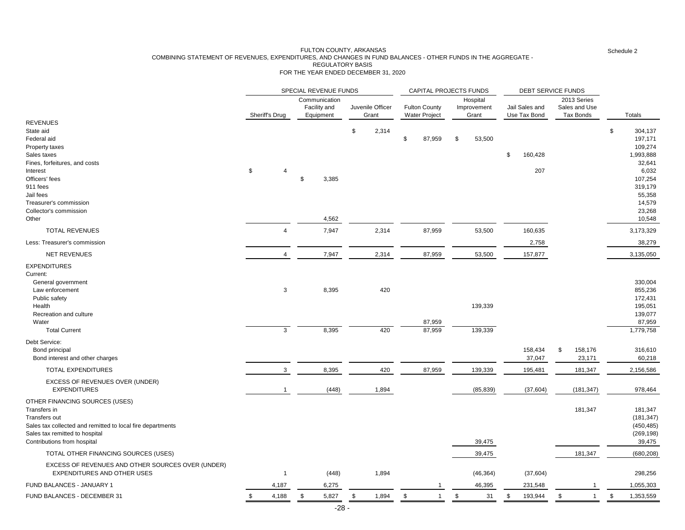|                                                            | SPECIAL REVENUE FUNDS |                |                         |                                            |                           |     | CAPITAL PROJECTS FUNDS |                                       |    |                                  | DEBT SERVICE FUNDS |                                |    |                                           |                  |
|------------------------------------------------------------|-----------------------|----------------|-------------------------|--------------------------------------------|---------------------------|-----|------------------------|---------------------------------------|----|----------------------------------|--------------------|--------------------------------|----|-------------------------------------------|------------------|
|                                                            | Sheriff's Drug        |                |                         | Communication<br>Facility and<br>Equipment | Juvenile Officer<br>Grant |     |                        | <b>Fulton County</b><br>Water Project |    | Hospital<br>Improvement<br>Grant |                    | Jail Sales and<br>Use Tax Bond |    | 2013 Series<br>Sales and Use<br>Tax Bonds | Totals           |
| <b>REVENUES</b>                                            |                       |                |                         |                                            |                           |     |                        |                                       |    |                                  |                    |                                |    |                                           |                  |
| State aid                                                  |                       |                |                         |                                            | \$<br>2,314               |     |                        |                                       |    |                                  |                    |                                |    |                                           | \$<br>304,137    |
| Federal aid                                                |                       |                |                         |                                            |                           |     | \$                     | 87,959                                | \$ | 53,500                           |                    |                                |    |                                           | 197,171          |
| Property taxes                                             |                       |                |                         |                                            |                           |     |                        |                                       |    |                                  |                    |                                |    |                                           | 109,274          |
| Sales taxes                                                |                       |                |                         |                                            |                           |     |                        |                                       |    |                                  | \$                 | 160,428                        |    |                                           | 1,993,888        |
| Fines, forfeitures, and costs                              |                       |                |                         |                                            |                           |     |                        |                                       |    |                                  |                    |                                |    |                                           | 32,641           |
| Interest                                                   | \$                    | $\overline{4}$ |                         |                                            |                           |     |                        |                                       |    |                                  |                    | 207                            |    |                                           | 6,032            |
| Officers' fees                                             |                       |                | $\sqrt[6]{\frac{1}{2}}$ | 3,385                                      |                           |     |                        |                                       |    |                                  |                    |                                |    |                                           | 107,254          |
| 911 fees                                                   |                       |                |                         |                                            |                           |     |                        |                                       |    |                                  |                    |                                |    |                                           | 319,179          |
| Jail fees                                                  |                       |                |                         |                                            |                           |     |                        |                                       |    |                                  |                    |                                |    |                                           | 55,358           |
| Treasurer's commission<br>Collector's commission           |                       |                |                         |                                            |                           |     |                        |                                       |    |                                  |                    |                                |    |                                           | 14,579<br>23,268 |
| Other                                                      |                       |                |                         | 4,562                                      |                           |     |                        |                                       |    |                                  |                    |                                |    |                                           | 10,548           |
|                                                            |                       |                |                         |                                            |                           |     |                        |                                       |    |                                  |                    |                                |    |                                           |                  |
| <b>TOTAL REVENUES</b>                                      |                       | $\overline{4}$ |                         | 7,947                                      | 2,314                     |     |                        | 87,959                                |    | 53,500                           |                    | 160,635                        |    |                                           | 3,173,329        |
| Less: Treasurer's commission                               |                       |                |                         |                                            |                           |     |                        |                                       |    |                                  |                    | 2,758                          |    |                                           | 38,279           |
| <b>NET REVENUES</b>                                        |                       | 4              |                         | 7,947                                      | 2,314                     |     |                        | 87,959                                |    | 53,500                           |                    | 157,877                        |    |                                           | 3,135,050        |
| <b>EXPENDITURES</b>                                        |                       |                |                         |                                            |                           |     |                        |                                       |    |                                  |                    |                                |    |                                           |                  |
| Current:                                                   |                       |                |                         |                                            |                           |     |                        |                                       |    |                                  |                    |                                |    |                                           |                  |
| General government                                         |                       |                |                         |                                            |                           |     |                        |                                       |    |                                  |                    |                                |    |                                           | 330,004          |
| Law enforcement                                            |                       | 3              |                         | 8,395                                      |                           | 420 |                        |                                       |    |                                  |                    |                                |    |                                           | 855,236          |
| Public safety                                              |                       |                |                         |                                            |                           |     |                        |                                       |    |                                  |                    |                                |    |                                           | 172,431          |
| Health                                                     |                       |                |                         |                                            |                           |     |                        |                                       |    | 139,339                          |                    |                                |    |                                           | 195,051          |
| Recreation and culture                                     |                       |                |                         |                                            |                           |     |                        |                                       |    |                                  |                    |                                |    |                                           | 139,077          |
| Water                                                      |                       |                |                         |                                            |                           |     |                        | 87,959                                |    |                                  |                    |                                |    |                                           | 87,959           |
| <b>Total Current</b>                                       |                       | 3              |                         | 8,395                                      |                           | 420 |                        | 87,959                                |    | 139,339                          |                    |                                |    |                                           | 1,779,758        |
| Debt Service:                                              |                       |                |                         |                                            |                           |     |                        |                                       |    |                                  |                    |                                |    |                                           |                  |
| Bond principal                                             |                       |                |                         |                                            |                           |     |                        |                                       |    |                                  |                    | 158,434                        | \$ | 158,176                                   | 316,610          |
| Bond interest and other charges                            |                       |                |                         |                                            |                           |     |                        |                                       |    |                                  |                    | 37,047                         |    | 23,171                                    | 60,218           |
| TOTAL EXPENDITURES                                         |                       | 3              |                         | 8,395                                      |                           | 420 |                        | 87,959                                |    | 139,339                          |                    | 195,481                        |    | 181,347                                   | 2,156,586        |
| EXCESS OF REVENUES OVER (UNDER)                            |                       |                |                         |                                            |                           |     |                        |                                       |    |                                  |                    |                                |    |                                           |                  |
| <b>EXPENDITURES</b>                                        |                       | $\overline{1}$ |                         | (448)                                      | 1,894                     |     |                        |                                       |    | (85, 839)                        |                    | (37, 604)                      |    | (181, 347)                                | 978,464          |
| OTHER FINANCING SOURCES (USES)                             |                       |                |                         |                                            |                           |     |                        |                                       |    |                                  |                    |                                |    |                                           |                  |
| Transfers in                                               |                       |                |                         |                                            |                           |     |                        |                                       |    |                                  |                    |                                |    | 181,347                                   | 181,347          |
| Transfers out                                              |                       |                |                         |                                            |                           |     |                        |                                       |    |                                  |                    |                                |    |                                           | (181, 347)       |
| Sales tax collected and remitted to local fire departments |                       |                |                         |                                            |                           |     |                        |                                       |    |                                  |                    |                                |    |                                           | (450, 485)       |
| Sales tax remitted to hospital                             |                       |                |                         |                                            |                           |     |                        |                                       |    |                                  |                    |                                |    |                                           | (269, 198)       |
| Contributions from hospital                                |                       |                |                         |                                            |                           |     |                        |                                       |    | 39,475                           |                    |                                |    |                                           | 39,475           |
| TOTAL OTHER FINANCING SOURCES (USES)                       |                       |                |                         |                                            |                           |     |                        |                                       |    | 39,475                           |                    |                                |    | 181,347                                   | (680, 208)       |
| EXCESS OF REVENUES AND OTHER SOURCES OVER (UNDER)          |                       |                |                         |                                            |                           |     |                        |                                       |    |                                  |                    |                                |    |                                           |                  |
| <b>EXPENDITURES AND OTHER USES</b>                         |                       | $\overline{1}$ |                         | (448)                                      | 1,894                     |     |                        |                                       |    | (46, 364)                        |                    | (37, 604)                      |    |                                           | 298,256          |
| FUND BALANCES - JANUARY 1                                  |                       | 4,187          |                         | 6,275                                      |                           |     |                        | -1                                    |    | 46,395                           |                    | 231,548                        |    | $\mathbf{1}$                              | 1,055,303        |
| FUND BALANCES - DECEMBER 31                                | \$.                   | 4,188          | \$                      | 5,827                                      | 1,894<br>\$               |     | \$                     | $\mathbf{1}$                          | \$ | 31                               | \$                 | 193,944                        | \$ | $\mathbf{1}$                              | \$<br>1,353,559  |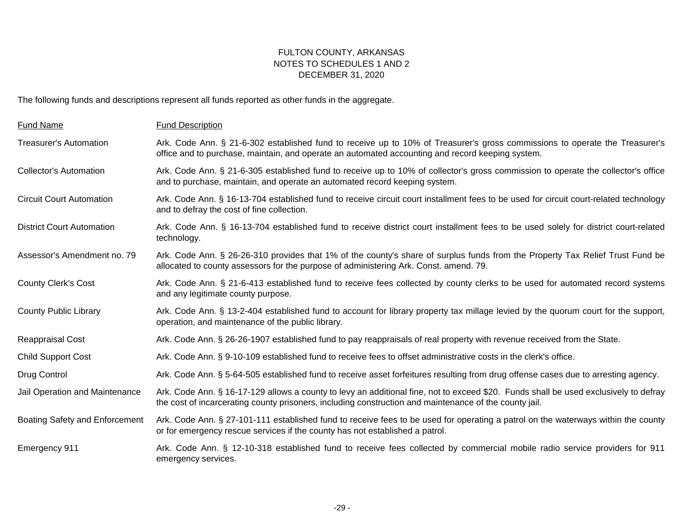# FULTON COUNTY, ARKANSAS NOTES TO SCHEDULES 1 AND 2 DECEMBER 31, 2020

The following funds and descriptions represent all funds reported as other funds in the aggregate.

| <b>Fund Name</b>                      | <b>Fund Description</b>                                                                                                                                                                                                                        |
|---------------------------------------|------------------------------------------------------------------------------------------------------------------------------------------------------------------------------------------------------------------------------------------------|
| <b>Treasurer's Automation</b>         | Ark. Code Ann. § 21-6-302 established fund to receive up to 10% of Treasurer's gross commissions to operate the Treasurer's<br>office and to purchase, maintain, and operate an automated accounting and record keeping system.                |
| <b>Collector's Automation</b>         | Ark. Code Ann. § 21-6-305 established fund to receive up to 10% of collector's gross commission to operate the collector's office<br>and to purchase, maintain, and operate an automated record keeping system.                                |
| <b>Circuit Court Automation</b>       | Ark. Code Ann. § 16-13-704 established fund to receive circuit court installment fees to be used for circuit court-related technology<br>and to defray the cost of fine collection.                                                            |
| <b>District Court Automation</b>      | Ark. Code Ann. § 16-13-704 established fund to receive district court installment fees to be used solely for district court-related<br>technology.                                                                                             |
| Assessor's Amendment no. 79           | Ark. Code Ann. § 26-26-310 provides that 1% of the county's share of surplus funds from the Property Tax Relief Trust Fund be<br>allocated to county assessors for the purpose of administering Ark. Const. amend. 79.                         |
| <b>County Clerk's Cost</b>            | Ark. Code Ann. § 21-6-413 established fund to receive fees collected by county clerks to be used for automated record systems<br>and any legitimate county purpose.                                                                            |
| <b>County Public Library</b>          | Ark. Code Ann. § 13-2-404 established fund to account for library property tax millage levied by the quorum court for the support,<br>operation, and maintenance of the public library.                                                        |
| <b>Reappraisal Cost</b>               | Ark. Code Ann. § 26-26-1907 established fund to pay reappraisals of real property with revenue received from the State.                                                                                                                        |
| <b>Child Support Cost</b>             | Ark. Code Ann. § 9-10-109 established fund to receive fees to offset administrative costs in the clerk's office.                                                                                                                               |
| Drug Control                          | Ark. Code Ann. § 5-64-505 established fund to receive asset forfeitures resulting from drug offense cases due to arresting agency.                                                                                                             |
| Jail Operation and Maintenance        | Ark. Code Ann. § 16-17-129 allows a county to levy an additional fine, not to exceed \$20. Funds shall be used exclusively to defray<br>the cost of incarcerating county prisoners, including construction and maintenance of the county jail. |
| <b>Boating Safety and Enforcement</b> | Ark. Code Ann. § 27-101-111 established fund to receive fees to be used for operating a patrol on the waterways within the county<br>or for emergency rescue services if the county has not established a patrol.                              |
| Emergency 911                         | Ark. Code Ann. § 12-10-318 established fund to receive fees collected by commercial mobile radio service providers for 911<br>emergency services.                                                                                              |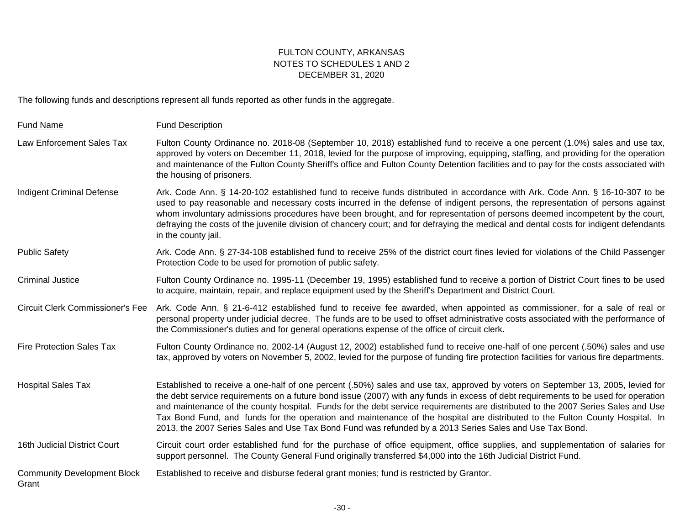# FULTON COUNTY, ARKANSAS NOTES TO SCHEDULES 1 AND 2 DECEMBER 31, 2020

The following funds and descriptions represent all funds reported as other funds in the aggregate.

| <b>Fund Name</b>                            | <b>Fund Description</b>                                                                                                                                                                                                                                                                                                                                                                                                                                                                                                                                                                                                                              |
|---------------------------------------------|------------------------------------------------------------------------------------------------------------------------------------------------------------------------------------------------------------------------------------------------------------------------------------------------------------------------------------------------------------------------------------------------------------------------------------------------------------------------------------------------------------------------------------------------------------------------------------------------------------------------------------------------------|
| Law Enforcement Sales Tax                   | Fulton County Ordinance no. 2018-08 (September 10, 2018) established fund to receive a one percent (1.0%) sales and use tax,<br>approved by voters on December 11, 2018, levied for the purpose of improving, equipping, staffing, and providing for the operation<br>and maintenance of the Fulton County Sheriff's office and Fulton County Detention facilities and to pay for the costs associated with<br>the housing of prisoners.                                                                                                                                                                                                             |
| <b>Indigent Criminal Defense</b>            | Ark. Code Ann. § 14-20-102 established fund to receive funds distributed in accordance with Ark. Code Ann. § 16-10-307 to be<br>used to pay reasonable and necessary costs incurred in the defense of indigent persons, the representation of persons against<br>whom involuntary admissions procedures have been brought, and for representation of persons deemed incompetent by the court,<br>defraying the costs of the juvenile division of chancery court; and for defraying the medical and dental costs for indigent defendants<br>in the county jail.                                                                                       |
| <b>Public Safety</b>                        | Ark. Code Ann. § 27-34-108 established fund to receive 25% of the district court fines levied for violations of the Child Passenger<br>Protection Code to be used for promotion of public safety.                                                                                                                                                                                                                                                                                                                                                                                                                                                    |
| <b>Criminal Justice</b>                     | Fulton County Ordinance no. 1995-11 (December 19, 1995) established fund to receive a portion of District Court fines to be used<br>to acquire, maintain, repair, and replace equipment used by the Sheriff's Department and District Court.                                                                                                                                                                                                                                                                                                                                                                                                         |
| <b>Circuit Clerk Commissioner's Fee</b>     | Ark. Code Ann. § 21-6-412 established fund to receive fee awarded, when appointed as commissioner, for a sale of real or<br>personal property under judicial decree. The funds are to be used to offset administrative costs associated with the performance of<br>the Commissioner's duties and for general operations expense of the office of circuit clerk.                                                                                                                                                                                                                                                                                      |
| <b>Fire Protection Sales Tax</b>            | Fulton County Ordinance no. 2002-14 (August 12, 2002) established fund to receive one-half of one percent (.50%) sales and use<br>tax, approved by voters on November 5, 2002, levied for the purpose of funding fire protection facilities for various fire departments.                                                                                                                                                                                                                                                                                                                                                                            |
| <b>Hospital Sales Tax</b>                   | Established to receive a one-half of one percent (.50%) sales and use tax, approved by voters on September 13, 2005, levied for<br>the debt service requirements on a future bond issue (2007) with any funds in excess of debt requirements to be used for operation<br>and maintenance of the county hospital. Funds for the debt service requirements are distributed to the 2007 Series Sales and Use<br>Tax Bond Fund, and funds for the operation and maintenance of the hospital are distributed to the Fulton County Hospital. In<br>2013, the 2007 Series Sales and Use Tax Bond Fund was refunded by a 2013 Series Sales and Use Tax Bond. |
| 16th Judicial District Court                | Circuit court order established fund for the purchase of office equipment, office supplies, and supplementation of salaries for<br>support personnel. The County General Fund originally transferred \$4,000 into the 16th Judicial District Fund.                                                                                                                                                                                                                                                                                                                                                                                                   |
| <b>Community Development Block</b><br>Grant | Established to receive and disburse federal grant monies; fund is restricted by Grantor.                                                                                                                                                                                                                                                                                                                                                                                                                                                                                                                                                             |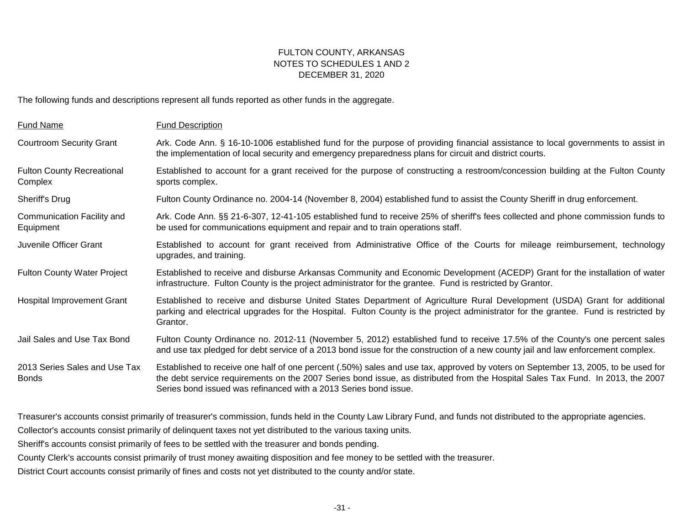# FULTON COUNTY, ARKANSAS NOTES TO SCHEDULES 1 AND 2 DECEMBER 31, 2020

The following funds and descriptions represent all funds reported as other funds in the aggregate.

| <b>Fund Name</b>                              | <b>Fund Description</b>                                                                                                                                                                                                                                                                                                                  |
|-----------------------------------------------|------------------------------------------------------------------------------------------------------------------------------------------------------------------------------------------------------------------------------------------------------------------------------------------------------------------------------------------|
| <b>Courtroom Security Grant</b>               | Ark. Code Ann. § 16-10-1006 established fund for the purpose of providing financial assistance to local governments to assist in<br>the implementation of local security and emergency preparedness plans for circuit and district courts.                                                                                               |
| <b>Fulton County Recreational</b><br>Complex  | Established to account for a grant received for the purpose of constructing a restroom/concession building at the Fulton County<br>sports complex.                                                                                                                                                                                       |
| Sheriff's Drug                                | Fulton County Ordinance no. 2004-14 (November 8, 2004) established fund to assist the County Sheriff in drug enforcement.                                                                                                                                                                                                                |
| Communication Facility and<br>Equipment       | Ark. Code Ann. §§ 21-6-307, 12-41-105 established fund to receive 25% of sheriff's fees collected and phone commission funds to<br>be used for communications equipment and repair and to train operations staff.                                                                                                                        |
| Juvenile Officer Grant                        | Established to account for grant received from Administrative Office of the Courts for mileage reimbursement, technology<br>upgrades, and training.                                                                                                                                                                                      |
| <b>Fulton County Water Project</b>            | Established to receive and disburse Arkansas Community and Economic Development (ACEDP) Grant for the installation of water<br>infrastructure. Fulton County is the project administrator for the grantee. Fund is restricted by Grantor.                                                                                                |
| <b>Hospital Improvement Grant</b>             | Established to receive and disburse United States Department of Agriculture Rural Development (USDA) Grant for additional<br>parking and electrical upgrades for the Hospital. Fulton County is the project administrator for the grantee. Fund is restricted by<br>Grantor.                                                             |
| Jail Sales and Use Tax Bond                   | Fulton County Ordinance no. 2012-11 (November 5, 2012) established fund to receive 17.5% of the County's one percent sales<br>and use tax pledged for debt service of a 2013 bond issue for the construction of a new county jail and law enforcement complex.                                                                           |
| 2013 Series Sales and Use Tax<br><b>Bonds</b> | Established to receive one half of one percent (.50%) sales and use tax, approved by voters on September 13, 2005, to be used for<br>the debt service requirements on the 2007 Series bond issue, as distributed from the Hospital Sales Tax Fund. In 2013, the 2007<br>Series bond issued was refinanced with a 2013 Series bond issue. |

Treasurer's accounts consist primarily of treasurer's commission, funds held in the County Law Library Fund, and funds not distributed to the appropriate agencies.

Collector's accounts consist primarily of delinquent taxes not yet distributed to the various taxing units.

Sheriff's accounts consist primarily of fees to be settled with the treasurer and bonds pending.

County Clerk's accounts consist primarily of trust money awaiting disposition and fee money to be settled with the treasurer.

District Court accounts consist primarily of fines and costs not yet distributed to the county and/or state.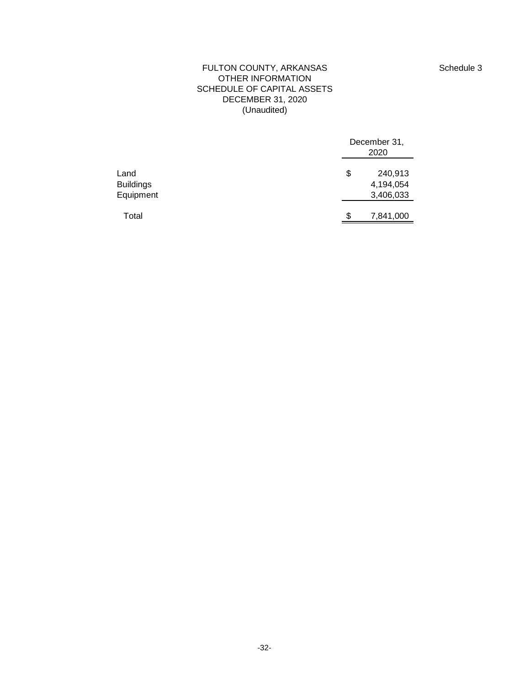# FULTON COUNTY, ARKANSAS OTHER INFORMATION SCHEDULE OF CAPITAL ASSETS (Unaudited) DECEMBER 31, 2020

|                                       | December 31,<br>2020                    |
|---------------------------------------|-----------------------------------------|
| Land<br><b>Buildings</b><br>Equipment | \$<br>240,913<br>4,194,054<br>3,406,033 |
| Total                                 | \$<br>7,841,000                         |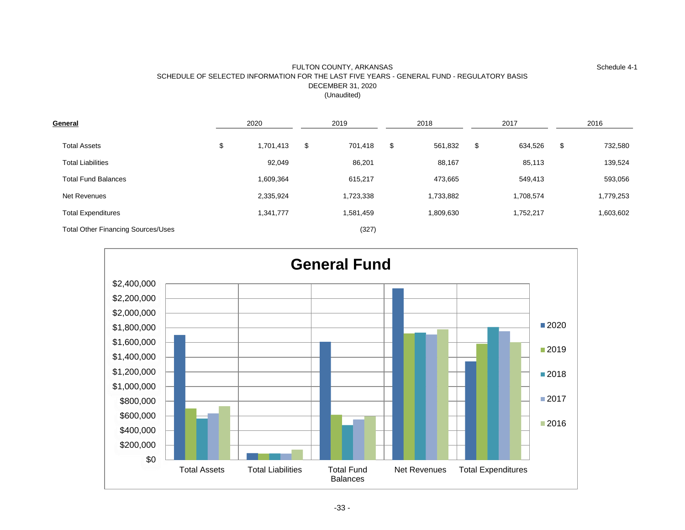## FULTON COUNTY, ARKANSAS SCHEDULE OF SELECTED INFORMATION FOR THE LAST FIVE YEARS - GENERAL FUND - REGULATORY BASIS DECEMBER 31, 2020 (Unaudited)

| General                                   | 2020            | 2019          | 2018          | 2017          | 2016          |
|-------------------------------------------|-----------------|---------------|---------------|---------------|---------------|
| <b>Total Assets</b>                       | \$<br>1,701,413 | \$<br>701,418 | \$<br>561,832 | \$<br>634,526 | \$<br>732,580 |
| <b>Total Liabilities</b>                  | 92,049          | 86,201        | 88,167        | 85,113        | 139,524       |
| <b>Total Fund Balances</b>                | 1,609,364       | 615,217       | 473,665       | 549,413       | 593,056       |
| Net Revenues                              | 2,335,924       | 1,723,338     | 1,733,882     | 1,708,574     | 1,779,253     |
| <b>Total Expenditures</b>                 | 1,341,777       | 1,581,459     | 809,630       | 1,752,217     | 1,603,602     |
| <b>Total Other Financing Sources/Uses</b> |                 | (327)         |               |               |               |



Schedule 4-1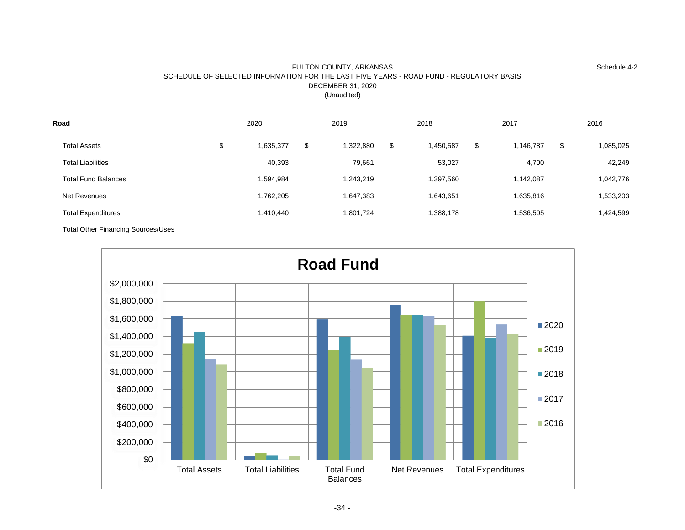## FULTON COUNTY, ARKANSAS SCHEDULE OF SELECTED INFORMATION FOR THE LAST FIVE YEARS - ROAD FUND - REGULATORY BASIS DECEMBER 31, 2020 (Unaudited)

| <u>Road</u>                |   | 2020       | 2019            | 2018            | 2017            | 2016            |
|----------------------------|---|------------|-----------------|-----------------|-----------------|-----------------|
| <b>Total Assets</b>        | Φ | 1,635,377  | \$<br>1,322,880 | \$<br>1,450,587 | \$<br>1,146,787 | \$<br>1,085,025 |
| <b>Total Liabilities</b>   |   | 40,393     | 79,661          | 53,027          | 4,700           | 42,249          |
| <b>Total Fund Balances</b> |   | 1,594,984  | 1,243,219       | 1,397,560       | 1,142,087       | 1,042,776       |
| Net Revenues               |   | 1,762,205  | 1,647,383       | 1,643,651       | 1,635,816       | 1,533,203       |
| <b>Total Expenditures</b>  |   | 410,440. ا | 1,801,724       | 1,388,178       | 1,536,505       | 1,424,599       |
|                            |   |            |                 |                 |                 |                 |

Total Other Financing Sources/Uses



Schedule 4-2